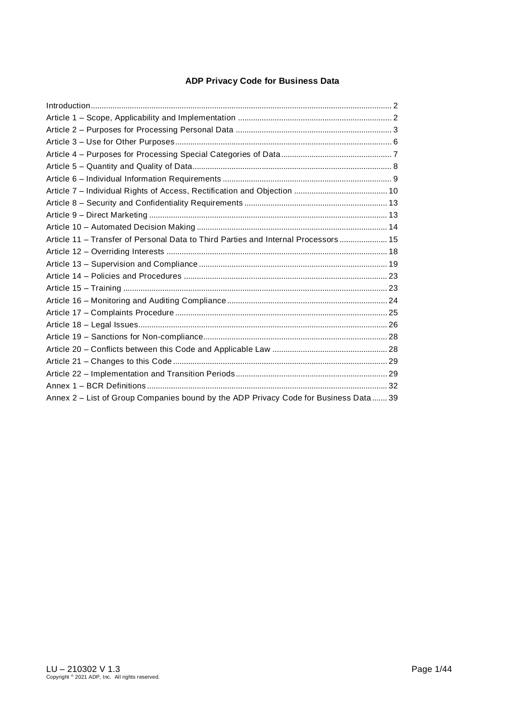## **ADP Privacy Code for Business Data**

| Article 11 - Transfer of Personal Data to Third Parties and Internal Processors  15  |  |
|--------------------------------------------------------------------------------------|--|
|                                                                                      |  |
|                                                                                      |  |
|                                                                                      |  |
|                                                                                      |  |
|                                                                                      |  |
|                                                                                      |  |
|                                                                                      |  |
|                                                                                      |  |
|                                                                                      |  |
|                                                                                      |  |
|                                                                                      |  |
|                                                                                      |  |
| Annex 2 - List of Group Companies bound by the ADP Privacy Code for Business Data 39 |  |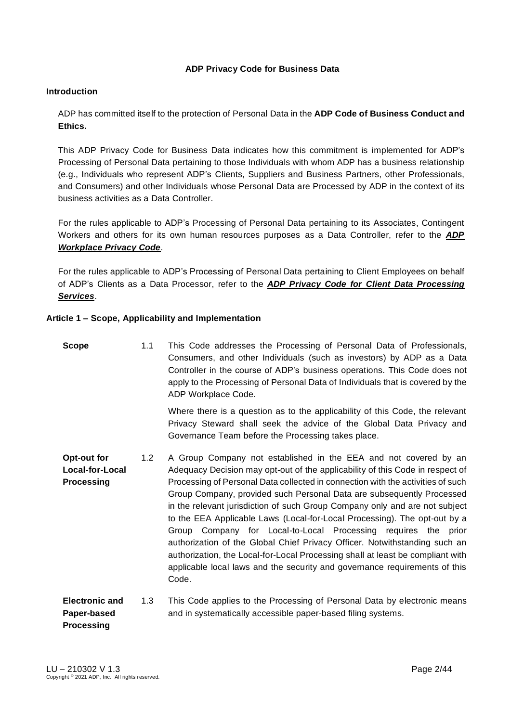### **ADP Privacy Code for Business Data**

#### <span id="page-1-0"></span>**Introduction**

ADP has committed itself to the protection of Personal Data in the **ADP Code of Business Conduct and Ethics.**

This ADP Privacy Code for Business Data indicates how this commitment is implemented for ADP's Processing of Personal Data pertaining to those Individuals with whom ADP has a business relationship (e.g., Individuals who represent ADP's Clients, Suppliers and Business Partners, other Professionals, and Consumers) and other Individuals whose Personal Data are Processed by ADP in the context of its business activities as a Data Controller.

For the rules applicable to ADP's Processing of Personal Data pertaining to its Associates, Contingent Workers and others for its own human resources purposes as a Data Controller, refer to the *ADP Workplace Privacy Code*.

For the rules applicable to ADP's Processing of Personal Data pertaining to Client Employees on behalf of ADP's Clients as a Data Processor, refer to the *ADP Privacy Code for Client Data Processing Services*.

#### <span id="page-1-1"></span>**Article 1 – Scope, Applicability and Implementation**

| <b>Scope</b>                                        | 1.1 | This Code addresses the Processing of Personal Data of Professionals,<br>Consumers, and other Individuals (such as investors) by ADP as a Data<br>Controller in the course of ADP's business operations. This Code does not<br>apply to the Processing of Personal Data of Individuals that is covered by the<br>ADP Workplace Code.                                                                                                                                                                                                                                                                                                                                                                                                                                                               |
|-----------------------------------------------------|-----|----------------------------------------------------------------------------------------------------------------------------------------------------------------------------------------------------------------------------------------------------------------------------------------------------------------------------------------------------------------------------------------------------------------------------------------------------------------------------------------------------------------------------------------------------------------------------------------------------------------------------------------------------------------------------------------------------------------------------------------------------------------------------------------------------|
|                                                     |     | Where there is a question as to the applicability of this Code, the relevant<br>Privacy Steward shall seek the advice of the Global Data Privacy and<br>Governance Team before the Processing takes place.                                                                                                                                                                                                                                                                                                                                                                                                                                                                                                                                                                                         |
| Opt-out for<br>Local-for-Local<br><b>Processing</b> | 1.2 | A Group Company not established in the EEA and not covered by an<br>Adequacy Decision may opt-out of the applicability of this Code in respect of<br>Processing of Personal Data collected in connection with the activities of such<br>Group Company, provided such Personal Data are subsequently Processed<br>in the relevant jurisdiction of such Group Company only and are not subject<br>to the EEA Applicable Laws (Local-for-Local Processing). The opt-out by a<br>Group Company for Local-to-Local Processing requires the prior<br>authorization of the Global Chief Privacy Officer. Notwithstanding such an<br>authorization, the Local-for-Local Processing shall at least be compliant with<br>applicable local laws and the security and governance requirements of this<br>Code. |
| <b>Electronic and</b><br>Paper-based                | 1.3 | This Code applies to the Processing of Personal Data by electronic means<br>and in systematically accessible paper-based filing systems.                                                                                                                                                                                                                                                                                                                                                                                                                                                                                                                                                                                                                                                           |

**Paper-based Processing**  and in systematically accessible paper-based filing systems.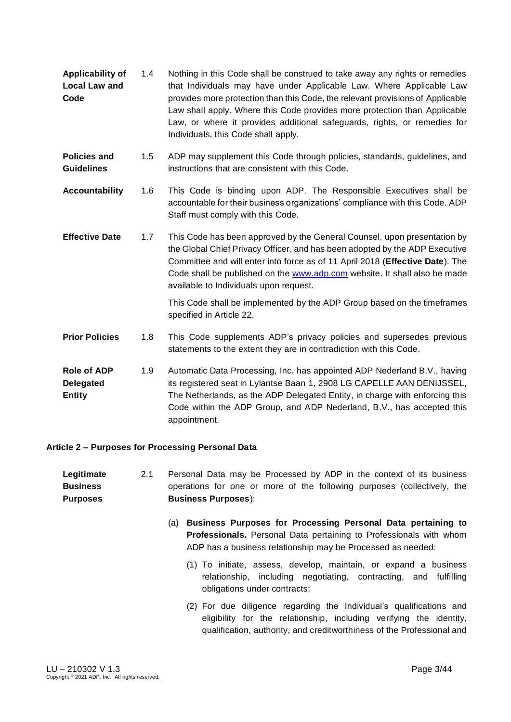- **Applicability of Local Law and Code** 1.4 Nothing in this Code shall be construed to take away any rights or remedies that Individuals may have under Applicable Law. Where Applicable Law provides more protection than this Code, the relevant provisions of Applicable Law shall apply. Where this Code provides more protection than Applicable Law, or where it provides additional safeguards, rights, or remedies for Individuals, this Code shall apply.
- **Policies and Guidelines** 1.5 ADP may supplement this Code through policies, standards, guidelines, and instructions that are consistent with this Code.
- **Accountability** 1.6 This Code is binding upon ADP. The Responsible Executives shall be accountable for their business organizations' compliance with this Code. ADP Staff must comply with this Code.
- **Effective Date** 1.7 This Code has been approved by the General Counsel, upon presentation by the Global Chief Privacy Officer, and has been adopted by the ADP Executive Committee and will enter into force as of 11 April 2018 (**Effective Date**). The Code shall be published on the [www.adp.com](http://www.adp.com/) website. It shall also be made available to Individuals upon request.

This Code shall be implemented by the ADP Group based on the timeframes specified in Article 22.

- **Prior Policies** 1.8 This Code supplements ADP's privacy policies and supersedes previous statements to the extent they are in contradiction with this Code.
- **Role of ADP Delegated Entity**  1.9 Automatic Data Processing, Inc. has appointed ADP Nederland B.V., having its registered seat in Lylantse Baan 1, 2908 LG CAPELLE AAN DENIJSSEL, The Netherlands, as the ADP Delegated Entity, in charge with enforcing this Code within the ADP Group, and ADP Nederland, B.V., has accepted this appointment.

#### <span id="page-2-0"></span>**Article 2 – Purposes for Processing Personal Data**

- **Legitimate Business Purposes** 2.1 Personal Data may be Processed by ADP in the context of its business operations for one or more of the following purposes (collectively, the **Business Purposes**):
	- (a) **Business Purposes for Processing Personal Data pertaining to Professionals.** Personal Data pertaining to Professionals with whom ADP has a business relationship may be Processed as needed:
		- (1) To initiate, assess, develop, maintain, or expand a business relationship, including negotiating, contracting, and fulfilling obligations under contracts;
		- (2) For due diligence regarding the Individual's qualifications and eligibility for the relationship, including verifying the identity, qualification, authority, and creditworthiness of the Professional and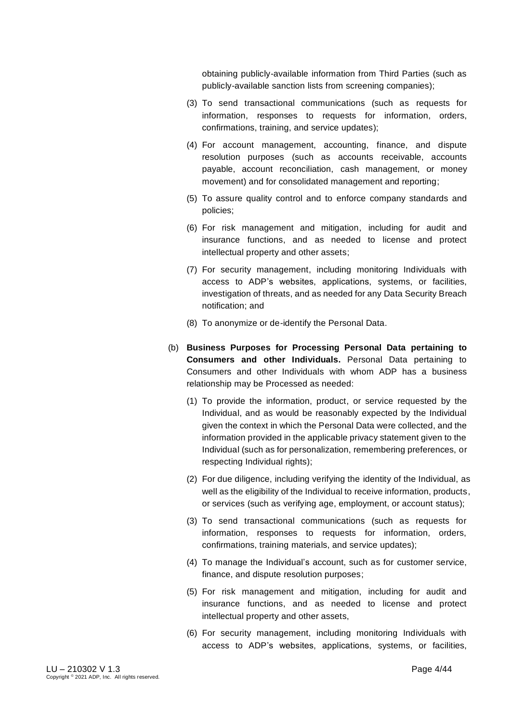obtaining publicly-available information from Third Parties (such as publicly-available sanction lists from screening companies);

- (3) To send transactional communications (such as requests for information, responses to requests for information, orders, confirmations, training, and service updates);
- (4) For account management, accounting, finance, and dispute resolution purposes (such as accounts receivable, accounts payable, account reconciliation, cash management, or money movement) and for consolidated management and reporting;
- (5) To assure quality control and to enforce company standards and policies;
- (6) For risk management and mitigation, including for audit and insurance functions, and as needed to license and protect intellectual property and other assets;
- (7) For security management, including monitoring Individuals with access to ADP's websites, applications, systems, or facilities, investigation of threats, and as needed for any Data Security Breach notification; and
- (8) To anonymize or de-identify the Personal Data.
- (b) **Business Purposes for Processing Personal Data pertaining to Consumers and other Individuals.** Personal Data pertaining to Consumers and other Individuals with whom ADP has a business relationship may be Processed as needed:
	- (1) To provide the information, product, or service requested by the Individual, and as would be reasonably expected by the Individual given the context in which the Personal Data were collected, and the information provided in the applicable privacy statement given to the Individual (such as for personalization, remembering preferences, or respecting Individual rights);
	- (2) For due diligence, including verifying the identity of the Individual, as well as the eligibility of the Individual to receive information, products, or services (such as verifying age, employment, or account status);
	- (3) To send transactional communications (such as requests for information, responses to requests for information, orders, confirmations, training materials, and service updates);
	- (4) To manage the Individual's account, such as for customer service, finance, and dispute resolution purposes;
	- (5) For risk management and mitigation, including for audit and insurance functions, and as needed to license and protect intellectual property and other assets,
	- (6) For security management, including monitoring Individuals with access to ADP's websites, applications, systems, or facilities,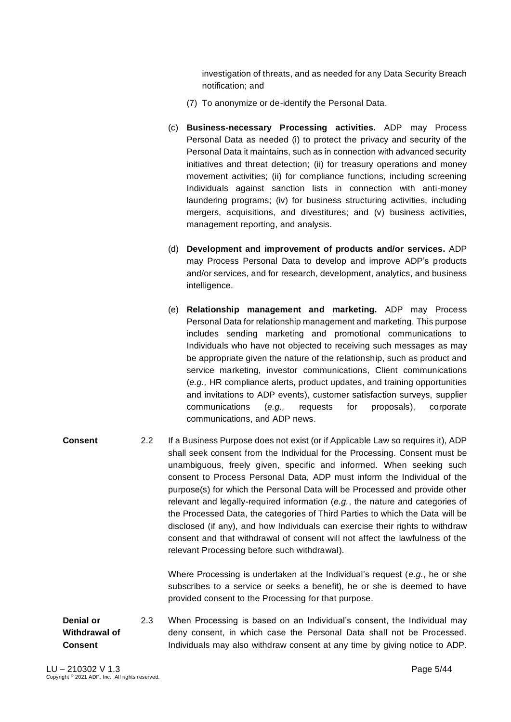investigation of threats, and as needed for any Data Security Breach notification; and

- (7) To anonymize or de-identify the Personal Data.
- (c) **Business-necessary Processing activities.** ADP may Process Personal Data as needed (i) to protect the privacy and security of the Personal Data it maintains, such as in connection with advanced security initiatives and threat detection; (ii) for treasury operations and money movement activities; (ii) for compliance functions, including screening Individuals against sanction lists in connection with anti-money laundering programs; (iv) for business structuring activities, including mergers, acquisitions, and divestitures; and (v) business activities, management reporting, and analysis.
- (d) **Development and improvement of products and/or services.** ADP may Process Personal Data to develop and improve ADP's products and/or services, and for research, development, analytics, and business intelligence.
- (e) **Relationship management and marketing.** ADP may Process Personal Data for relationship management and marketing. This purpose includes sending marketing and promotional communications to Individuals who have not objected to receiving such messages as may be appropriate given the nature of the relationship, such as product and service marketing, investor communications, Client communications (*e.g.,* HR compliance alerts, product updates, and training opportunities and invitations to ADP events), customer satisfaction surveys, supplier communications (*e.g.,* requests for proposals), corporate communications, and ADP news.
- **Consent** 2.2 If a Business Purpose does not exist (or if Applicable Law so requires it), ADP shall seek consent from the Individual for the Processing. Consent must be unambiguous, freely given, specific and informed. When seeking such consent to Process Personal Data, ADP must inform the Individual of the purpose(s) for which the Personal Data will be Processed and provide other relevant and legally-required information (*e.g.*, the nature and categories of the Processed Data, the categories of Third Parties to which the Data will be disclosed (if any), and how Individuals can exercise their rights to withdraw consent and that withdrawal of consent will not affect the lawfulness of the relevant Processing before such withdrawal).

Where Processing is undertaken at the Individual's request (*e.g.*, he or she subscribes to a service or seeks a benefit), he or she is deemed to have provided consent to the Processing for that purpose.

#### **Denial or Withdrawal of Consent** 2.3 When Processing is based on an Individual's consent, the Individual may deny consent, in which case the Personal Data shall not be Processed. Individuals may also withdraw consent at any time by giving notice to ADP.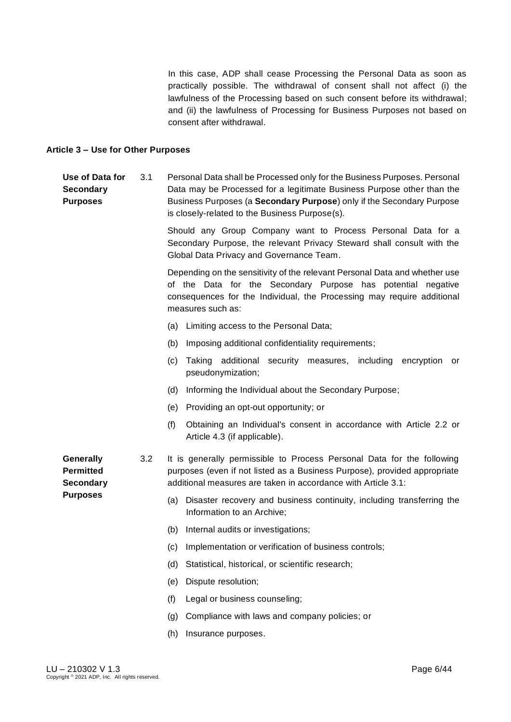In this case, ADP shall cease Processing the Personal Data as soon as practically possible. The withdrawal of consent shall not affect (i) the lawfulness of the Processing based on such consent before its withdrawal; and (ii) the lawfulness of Processing for Business Purposes not based on consent after withdrawal.

#### <span id="page-5-0"></span>**Article 3 – Use for Other Purposes**

#### **Use of Data for Secondary Purposes** 3.1 Personal Data shall be Processed only for the Business Purposes. Personal Data may be Processed for a legitimate Business Purpose other than the Business Purposes (a **Secondary Purpose**) only if the Secondary Purpose is closely-related to the Business Purpose(s).

Should any Group Company want to Process Personal Data for a Secondary Purpose, the relevant Privacy Steward shall consult with the Global Data Privacy and Governance Team.

Depending on the sensitivity of the relevant Personal Data and whether use of the Data for the Secondary Purpose has potential negative consequences for the Individual, the Processing may require additional measures such as:

- (a) Limiting access to the Personal Data;
- (b) Imposing additional confidentiality requirements;
- (c) Taking additional security measures, including encryption or pseudonymization;
- (d) Informing the Individual about the Secondary Purpose;
- (e) Providing an opt-out opportunity; or
- (f) Obtaining an Individual's consent in accordance with Article 2.2 or Article 4.3 (if applicable).

**Generally Permitted Secondary Purposes**

- 3.2 It is generally permissible to Process Personal Data for the following purposes (even if not listed as a Business Purpose), provided appropriate additional measures are taken in accordance with Article 3.1:
	- (a) Disaster recovery and business continuity, including transferring the Information to an Archive;
	- (b) Internal audits or investigations;
	- (c) Implementation or verification of business controls;
	- (d) Statistical, historical, or scientific research;
	- (e) Dispute resolution;
	- (f) Legal or business counseling;
	- (g) Compliance with laws and company policies; or
	- (h) Insurance purposes.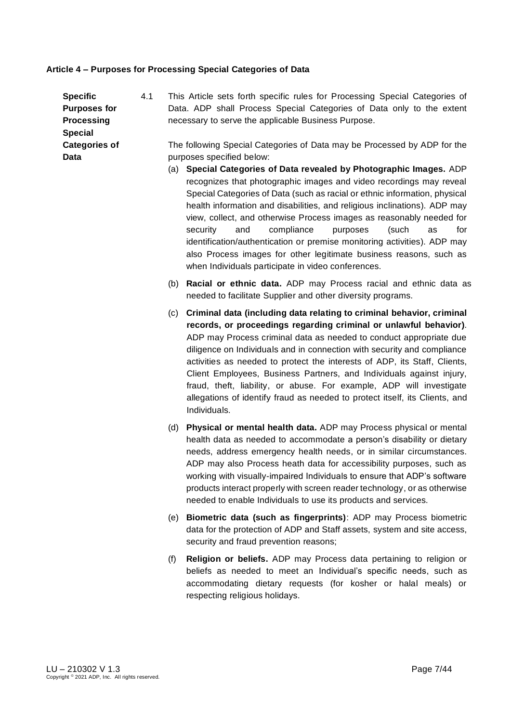#### <span id="page-6-0"></span>**Article 4 – Purposes for Processing Special Categories of Data**

| <b>Specific</b>      | 4.1 | This Article sets forth specific rules for Processing Special Categories of |
|----------------------|-----|-----------------------------------------------------------------------------|
| <b>Purposes for</b>  |     | Data. ADP shall Process Special Categories of Data only to the extent       |
| <b>Processing</b>    |     | necessary to serve the applicable Business Purpose.                         |
| <b>Special</b>       |     |                                                                             |
| <b>Categories of</b> |     | The following Special Categories of Data may be Processed by ADP for the    |
| Data                 |     | purposes specified below:                                                   |

- (a) **Special Categories of Data revealed by Photographic Images.** ADP recognizes that photographic images and video recordings may reveal Special Categories of Data (such as racial or ethnic information, physical health information and disabilities, and religious inclinations). ADP may view, collect, and otherwise Process images as reasonably needed for security and compliance purposes (such as for identification/authentication or premise monitoring activities). ADP may also Process images for other legitimate business reasons, such as when Individuals participate in video conferences.
- (b) **Racial or ethnic data.** ADP may Process racial and ethnic data as needed to facilitate Supplier and other diversity programs.
- (c) **Criminal data (including data relating to criminal behavior, criminal records, or proceedings regarding criminal or unlawful behavior)**. ADP may Process criminal data as needed to conduct appropriate due diligence on Individuals and in connection with security and compliance activities as needed to protect the interests of ADP, its Staff, Clients, Client Employees, Business Partners, and Individuals against injury, fraud, theft, liability, or abuse. For example, ADP will investigate allegations of identify fraud as needed to protect itself, its Clients, and Individuals.
- (d) **Physical or mental health data.** ADP may Process physical or mental health data as needed to accommodate a person's disability or dietary needs, address emergency health needs, or in similar circumstances. ADP may also Process heath data for accessibility purposes, such as working with visually-impaired Individuals to ensure that ADP's software products interact properly with screen reader technology, or as otherwise needed to enable Individuals to use its products and services.
- (e) **Biometric data (such as fingerprints)**: ADP may Process biometric data for the protection of ADP and Staff assets, system and site access, security and fraud prevention reasons;
- (f) **Religion or beliefs.** ADP may Process data pertaining to religion or beliefs as needed to meet an Individual's specific needs, such as accommodating dietary requests (for kosher or halal meals) or respecting religious holidays.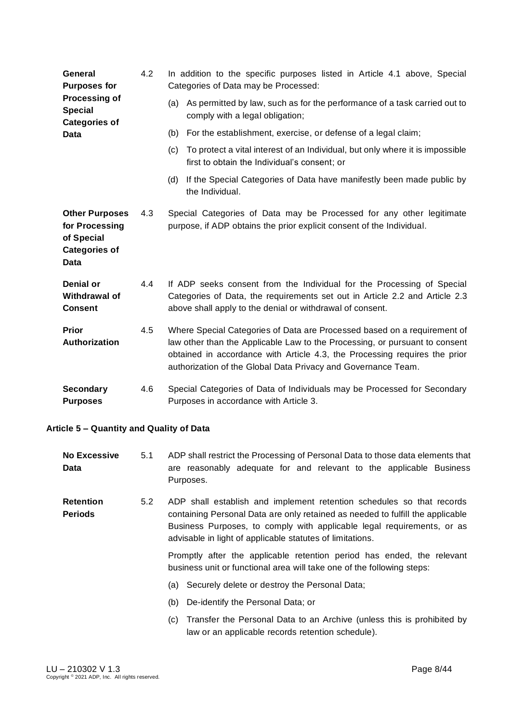| General<br><b>Purposes for</b>                                                        | 4.2 | In addition to the specific purposes listed in Article 4.1 above, Special<br>Categories of Data may be Processed:                                                                                                                                                                                      |  |  |  |
|---------------------------------------------------------------------------------------|-----|--------------------------------------------------------------------------------------------------------------------------------------------------------------------------------------------------------------------------------------------------------------------------------------------------------|--|--|--|
| Processing of<br><b>Special</b><br><b>Categories of</b>                               |     | (a) As permitted by law, such as for the performance of a task carried out to<br>comply with a legal obligation;                                                                                                                                                                                       |  |  |  |
| Data                                                                                  |     | (b)<br>For the establishment, exercise, or defense of a legal claim;                                                                                                                                                                                                                                   |  |  |  |
|                                                                                       |     | To protect a vital interest of an Individual, but only where it is impossible<br>(c)<br>first to obtain the Individual's consent; or                                                                                                                                                                   |  |  |  |
|                                                                                       |     | (d) If the Special Categories of Data have manifestly been made public by<br>the Individual.                                                                                                                                                                                                           |  |  |  |
| <b>Other Purposes</b><br>for Processing<br>of Special<br><b>Categories of</b><br>Data | 4.3 | Special Categories of Data may be Processed for any other legitimate<br>purpose, if ADP obtains the prior explicit consent of the Individual.                                                                                                                                                          |  |  |  |
| <b>Denial or</b><br>Withdrawal of<br><b>Consent</b>                                   | 4.4 | If ADP seeks consent from the Individual for the Processing of Special<br>Categories of Data, the requirements set out in Article 2.2 and Article 2.3<br>above shall apply to the denial or withdrawal of consent.                                                                                     |  |  |  |
| <b>Prior</b><br>Authorization                                                         | 4.5 | Where Special Categories of Data are Processed based on a requirement of<br>law other than the Applicable Law to the Processing, or pursuant to consent<br>obtained in accordance with Article 4.3, the Processing requires the prior<br>authorization of the Global Data Privacy and Governance Team. |  |  |  |
| <b>Secondary</b><br><b>Purposes</b>                                                   | 4.6 | Special Categories of Data of Individuals may be Processed for Secondary<br>Purposes in accordance with Article 3.                                                                                                                                                                                     |  |  |  |

## <span id="page-7-0"></span>**Article 5 – Quantity and Quality of Data**

| <b>No Excessive</b><br>Data        | 5.1 | ADP shall restrict the Processing of Personal Data to those data elements that<br>are reasonably adequate for and relevant to the applicable Business<br>Purposes.                                                                                                                             |
|------------------------------------|-----|------------------------------------------------------------------------------------------------------------------------------------------------------------------------------------------------------------------------------------------------------------------------------------------------|
| <b>Retention</b><br><b>Periods</b> | 5.2 | ADP shall establish and implement retention schedules so that records<br>containing Personal Data are only retained as needed to fulfill the applicable<br>Business Purposes, to comply with applicable legal requirements, or as<br>advisable in light of applicable statutes of limitations. |
|                                    |     | Promptly after the applicable retention period has ended, the relevant<br>business unit or functional area will take one of the following steps:                                                                                                                                               |
|                                    |     | (a) Securely delete or destroy the Personal Data;                                                                                                                                                                                                                                              |
|                                    |     | De-identify the Personal Data; or<br>(b)                                                                                                                                                                                                                                                       |
|                                    |     | Transfer the Personal Data to an Archive (unless this is prohibited by<br>(C)<br>law or an applicable records retention schedule).                                                                                                                                                             |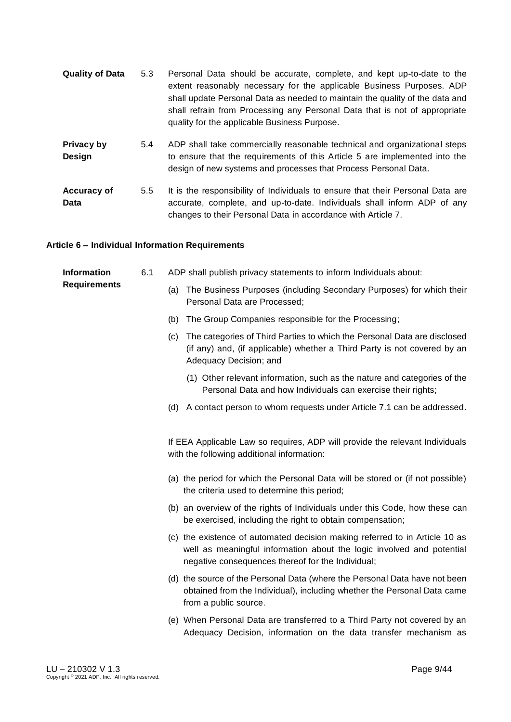| <b>Quality of Data</b>            | 5.3              | Personal Data should be accurate, complete, and kept up-to-date to the<br>extent reasonably necessary for the applicable Business Purposes. ADP<br>shall update Personal Data as needed to maintain the quality of the data and<br>shall refrain from Processing any Personal Data that is not of appropriate<br>quality for the applicable Business Purpose. |
|-----------------------------------|------------------|---------------------------------------------------------------------------------------------------------------------------------------------------------------------------------------------------------------------------------------------------------------------------------------------------------------------------------------------------------------|
| Privacy by<br>Design              | 5.4              | ADP shall take commercially reasonable technical and organizational steps<br>to ensure that the requirements of this Article 5 are implemented into the<br>design of new systems and processes that Process Personal Data.                                                                                                                                    |
| <b>Accuracy of</b><br><b>Data</b> | 5.5 <sub>1</sub> | It is the responsibility of Individuals to ensure that their Personal Data are<br>accurate, complete, and up-to-date. Individuals shall inform ADP of any<br>changes to their Personal Data in accordance with Article 7.                                                                                                                                     |

### <span id="page-8-0"></span>**Article 6 – Individual Information Requirements**

| <b>Information</b><br><b>Requirements</b> | 6.1 |     | ADP shall publish privacy statements to inform Individuals about:                                                                                                                                         |
|-------------------------------------------|-----|-----|-----------------------------------------------------------------------------------------------------------------------------------------------------------------------------------------------------------|
|                                           |     | (a) | The Business Purposes (including Secondary Purposes) for which their<br>Personal Data are Processed;                                                                                                      |
|                                           |     | (b) | The Group Companies responsible for the Processing;                                                                                                                                                       |
|                                           |     | (c) | The categories of Third Parties to which the Personal Data are disclosed<br>(if any) and, (if applicable) whether a Third Party is not covered by an<br>Adequacy Decision; and                            |
|                                           |     |     | (1) Other relevant information, such as the nature and categories of the<br>Personal Data and how Individuals can exercise their rights;                                                                  |
|                                           |     |     | (d) A contact person to whom requests under Article 7.1 can be addressed.                                                                                                                                 |
|                                           |     |     | If EEA Applicable Law so requires, ADP will provide the relevant Individuals<br>with the following additional information:                                                                                |
|                                           |     |     | (a) the period for which the Personal Data will be stored or (if not possible)<br>the criteria used to determine this period;                                                                             |
|                                           |     |     | (b) an overview of the rights of Individuals under this Code, how these can<br>be exercised, including the right to obtain compensation;                                                                  |
|                                           |     |     | (c) the existence of automated decision making referred to in Article 10 as<br>well as meaningful information about the logic involved and potential<br>negative consequences thereof for the Individual; |
|                                           |     |     | (d) the source of the Personal Data (where the Personal Data have not been<br>obtained from the Individual), including whether the Personal Data came<br>from a public source.                            |
|                                           |     |     | (e) When Personal Data are transferred to a Third Party not covered by an<br>Adequacy Decision, information on the data transfer mechanism as                                                             |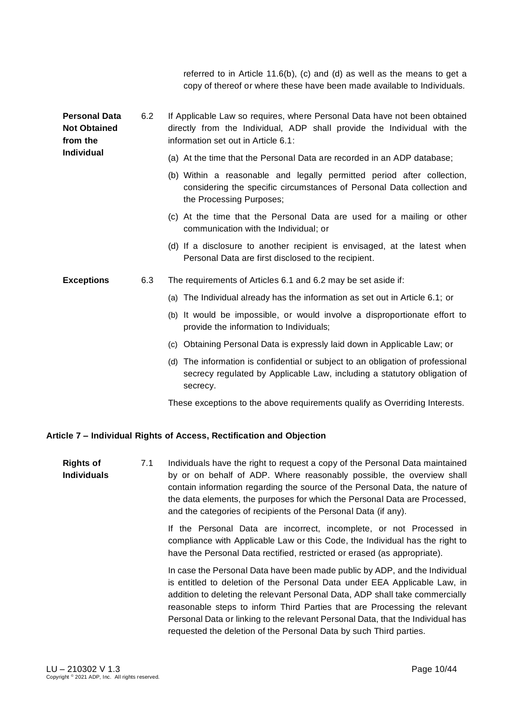referred to in Article 11.6(b), (c) and (d) as well as the means to get a copy of thereof or where these have been made available to Individuals.

| <b>Personal Data</b><br><b>Not Obtained</b><br>from the | 6.2 | If Applicable Law so requires, where Personal Data have not been obtained<br>directly from the Individual, ADP shall provide the Individual with the<br>information set out in Article 6.1: |
|---------------------------------------------------------|-----|---------------------------------------------------------------------------------------------------------------------------------------------------------------------------------------------|
| Individual                                              |     | (a) At the time that the Personal Data are recorded in an ADP database;                                                                                                                     |
|                                                         |     | (b) Within a reasonable and legally permitted period after collection,<br>considering the specific circumstances of Personal Data collection and<br>the Processing Purposes;                |
|                                                         |     | (c) At the time that the Personal Data are used for a mailing or other<br>communication with the Individual; or                                                                             |
|                                                         |     | (d) If a disclosure to another recipient is envisaged, at the latest when<br>Personal Data are first disclosed to the recipient.                                                            |
| <b>Exceptions</b>                                       | 6.3 | The requirements of Articles 6.1 and 6.2 may be set aside if:                                                                                                                               |
|                                                         |     | (a) The Individual already has the information as set out in Article 6.1; or                                                                                                                |
|                                                         |     | (b) It would be impossible, or would involve a disproportionate effort to<br>provide the information to Individuals;                                                                        |
|                                                         |     | (c) Obtaining Personal Data is expressly laid down in Applicable Law; or                                                                                                                    |
|                                                         |     | (d) The information is confidential or subject to an obligation of professional<br>secrecy regulated by Applicable Law, including a statutory obligation of<br>secrecy.                     |
|                                                         |     | These exceptions to the above requirements qualify as Overriding Interests.                                                                                                                 |

### <span id="page-9-0"></span>**Article 7 – Individual Rights of Access, Rectification and Objection**

**Rights of Individuals** 7.1 Individuals have the right to request a copy of the Personal Data maintained by or on behalf of ADP. Where reasonably possible, the overview shall contain information regarding the source of the Personal Data, the nature of the data elements, the purposes for which the Personal Data are Processed, and the categories of recipients of the Personal Data (if any).

> If the Personal Data are incorrect, incomplete, or not Processed in compliance with Applicable Law or this Code, the Individual has the right to have the Personal Data rectified, restricted or erased (as appropriate).

> In case the Personal Data have been made public by ADP, and the Individual is entitled to deletion of the Personal Data under EEA Applicable Law, in addition to deleting the relevant Personal Data, ADP shall take commercially reasonable steps to inform Third Parties that are Processing the relevant Personal Data or linking to the relevant Personal Data, that the Individual has requested the deletion of the Personal Data by such Third parties.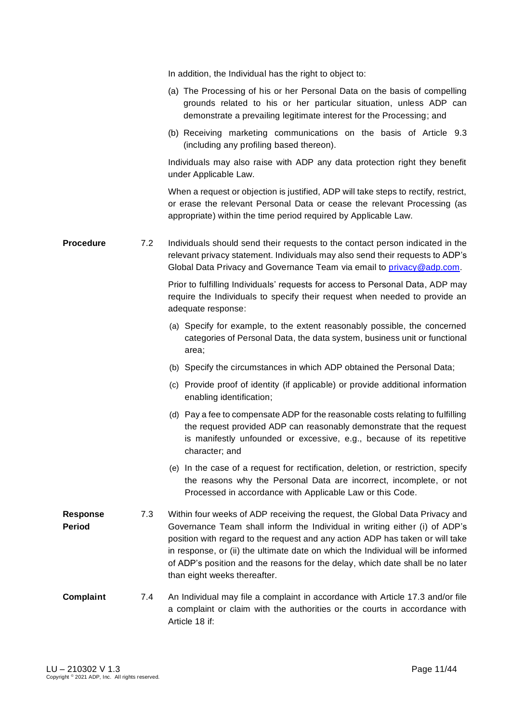In addition, the Individual has the right to object to: (a) The Processing of his or her Personal Data on the basis of compelling grounds related to his or her particular situation, unless ADP can demonstrate a prevailing legitimate interest for the Processing; and (b) Receiving marketing communications on the basis of Article 9.3 (including any profiling based thereon). Individuals may also raise with ADP any data protection right they benefit under Applicable Law. When a request or objection is justified, ADP will take steps to rectify, restrict, or erase the relevant Personal Data or cease the relevant Processing (as appropriate) within the time period required by Applicable Law. **Procedure** 7.2 Individuals should send their requests to the contact person indicated in the relevant privacy statement. Individuals may also send their requests to ADP's Global Data Privacy and Governance Team via email to *privacy* @adp.com. Prior to fulfilling Individuals' requests for access to Personal Data, ADP may require the Individuals to specify their request when needed to provide an adequate response: (a) Specify for example, to the extent reasonably possible, the concerned categories of Personal Data, the data system, business unit or functional area; (b) Specify the circumstances in which ADP obtained the Personal Data; (c) Provide proof of identity (if applicable) or provide additional information enabling identification; (d) Pay a fee to compensate ADP for the reasonable costs relating to fulfilling the request provided ADP can reasonably demonstrate that the request is manifestly unfounded or excessive, e.g., because of its repetitive character; and (e) In the case of a request for rectification, deletion, or restriction, specify the reasons why the Personal Data are incorrect, incomplete, or not Processed in accordance with Applicable Law or this Code. **Response Period** 7.3 Within four weeks of ADP receiving the request, the Global Data Privacy and Governance Team shall inform the Individual in writing either (i) of ADP's position with regard to the request and any action ADP has taken or will take in response, or (ii) the ultimate date on which the Individual will be informed of ADP's position and the reasons for the delay, which date shall be no later than eight weeks thereafter. **Complaint** 7.4 An Individual may file a complaint in accordance with Article 17.3 and/or file a complaint or claim with the authorities or the courts in accordance with Article 18 if: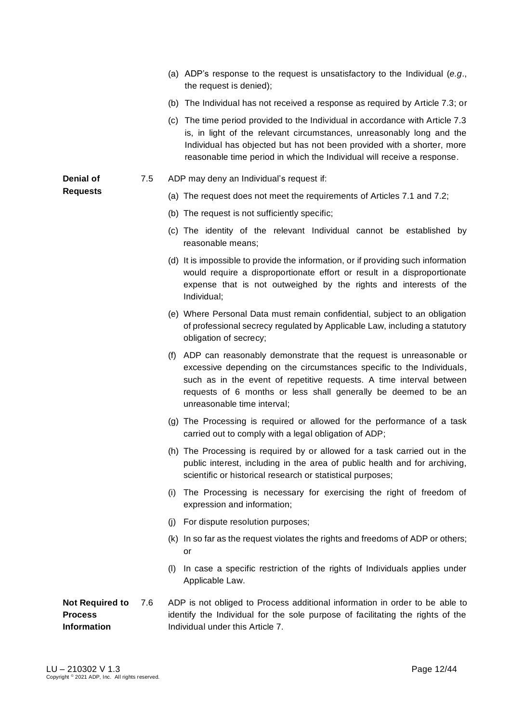- (a) ADP's response to the request is unsatisfactory to the Individual (*e.g*., the request is denied);
- (b) The Individual has not received a response as required by Article 7.3; or
- (c) The time period provided to the Individual in accordance with Article 7.3 is, in light of the relevant circumstances, unreasonably long and the Individual has objected but has not been provided with a shorter, more reasonable time period in which the Individual will receive a response.
- 7.5 ADP may deny an Individual's request if:
	- (a) The request does not meet the requirements of Articles 7.1 and 7.2;
	- (b) The request is not sufficiently specific;
	- (c) The identity of the relevant Individual cannot be established by reasonable means;
	- (d) It is impossible to provide the information, or if providing such information would require a disproportionate effort or result in a disproportionate expense that is not outweighed by the rights and interests of the Individual;
	- (e) Where Personal Data must remain confidential, subject to an obligation of professional secrecy regulated by Applicable Law, including a statutory obligation of secrecy;
	- (f) ADP can reasonably demonstrate that the request is unreasonable or excessive depending on the circumstances specific to the Individuals, such as in the event of repetitive requests. A time interval between requests of 6 months or less shall generally be deemed to be an unreasonable time interval;
	- (g) The Processing is required or allowed for the performance of a task carried out to comply with a legal obligation of ADP;
	- (h) The Processing is required by or allowed for a task carried out in the public interest, including in the area of public health and for archiving, scientific or historical research or statistical purposes;
	- (i) The Processing is necessary for exercising the right of freedom of expression and information;
	- (j) For dispute resolution purposes;
	- (k) In so far as the request violates the rights and freedoms of ADP or others; or
	- (l) In case a specific restriction of the rights of Individuals applies under Applicable Law.

#### **Not Required to Process Information** ADP is not obliged to Process additional information in order to be able to identify the Individual for the sole purpose of facilitating the rights of the Individual under this Article 7.

**Denial of Requests**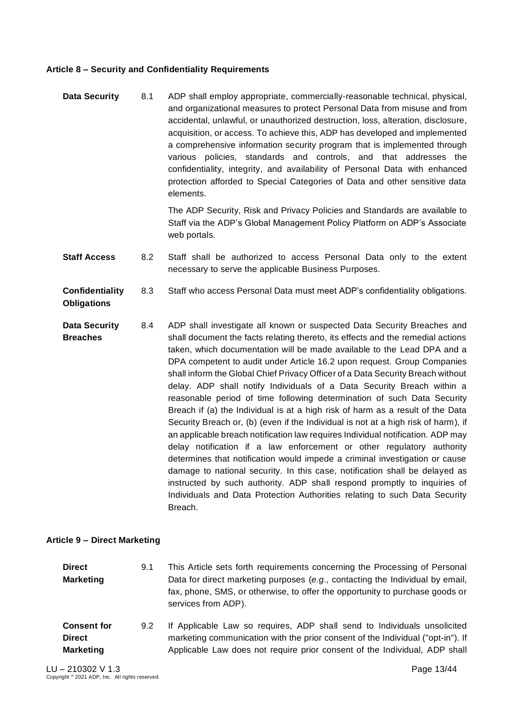### <span id="page-12-0"></span>**Article 8 – Security and Confidentiality Requirements**

**Data Security** 8.1 ADP shall employ appropriate, commercially-reasonable technical, physical, and organizational measures to protect Personal Data from misuse and from accidental, unlawful, or unauthorized destruction, loss, alteration, disclosure, acquisition, or access. To achieve this, ADP has developed and implemented a comprehensive information security program that is implemented through various policies, standards and controls, and that addresses the confidentiality, integrity, and availability of Personal Data with enhanced protection afforded to Special Categories of Data and other sensitive data elements.

> The ADP Security, Risk and Privacy Policies and Standards are available to Staff via the ADP's Global Management Policy Platform on ADP's Associate web portals.

- **Staff Access** 8.2 Staff shall be authorized to access Personal Data only to the extent necessary to serve the applicable Business Purposes.
- **Confidentiality**  8.3 Staff who access Personal Data must meet ADP's confidentiality obligations.
- **Data Security Breaches**  8.4 ADP shall investigate all known or suspected Data Security Breaches and shall document the facts relating thereto, its effects and the remedial actions taken, which documentation will be made available to the Lead DPA and a DPA competent to audit under Article 16.2 upon request. Group Companies shall inform the Global Chief Privacy Officer of a Data Security Breach without delay. ADP shall notify Individuals of a Data Security Breach within a reasonable period of time following determination of such Data Security Breach if (a) the Individual is at a high risk of harm as a result of the Data Security Breach or, (b) (even if the Individual is not at a high risk of harm), if an applicable breach notification law requires Individual notification. ADP may delay notification if a law enforcement or other regulatory authority determines that notification would impede a criminal investigation or cause damage to national security. In this case, notification shall be delayed as instructed by such authority. ADP shall respond promptly to inquiries of Individuals and Data Protection Authorities relating to such Data Security Breach.

#### <span id="page-12-1"></span>**Article 9 – Direct Marketing**

**Obligations**

| Direct    | 9.1 | This Article sets forth requirements concerning the Processing of Personal                                                                                                           |
|-----------|-----|--------------------------------------------------------------------------------------------------------------------------------------------------------------------------------------|
| Marketing |     | Data for direct marketing purposes (e.g., contacting the Individual by email,<br>fax, phone, SMS, or otherwise, to offer the opportunity to purchase goods or<br>services from ADP). |
|           |     |                                                                                                                                                                                      |

**Consent for Direct Marketing** 9.2 If Applicable Law so requires, ADP shall send to Individuals unsolicited marketing communication with the prior consent of the Individual ("opt-in"). If Applicable Law does not require prior consent of the Individual, ADP shall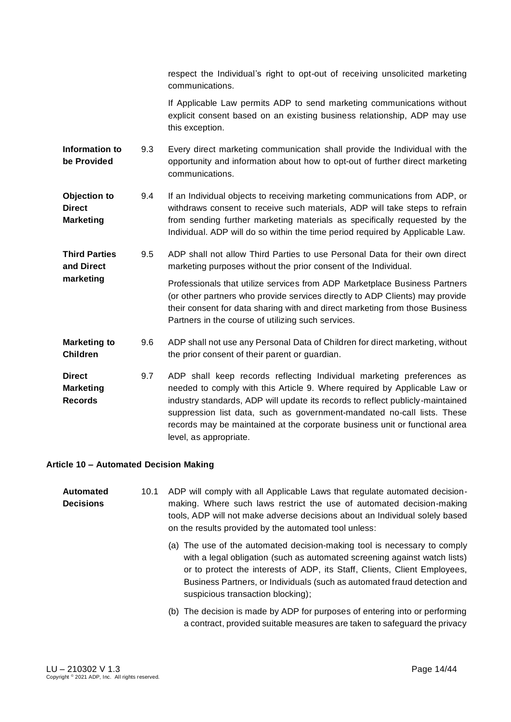respect the Individual's right to opt-out of receiving unsolicited marketing communications.

If Applicable Law permits ADP to send marketing communications without explicit consent based on an existing business relationship, ADP may use this exception.

- **Information to be Provided**  9.3 Every direct marketing communication shall provide the Individual with the opportunity and information about how to opt-out of further direct marketing communications.
- **Objection to Direct Marketing** 9.4 If an Individual objects to receiving marketing communications from ADP, or withdraws consent to receive such materials, ADP will take steps to refrain from sending further marketing materials as specifically requested by the Individual. ADP will do so within the time period required by Applicable Law.
- **Third Parties and Direct**  9.5 ADP shall not allow Third Parties to use Personal Data for their own direct marketing purposes without the prior consent of the Individual.

**marketing** Professionals that utilize services from ADP Marketplace Business Partners (or other partners who provide services directly to ADP Clients) may provide their consent for data sharing with and direct marketing from those Business Partners in the course of utilizing such services.

**Marketing to Children** 9.6 ADP shall not use any Personal Data of Children for direct marketing, without the prior consent of their parent or guardian.

**Direct Marketing Records** 9.7 ADP shall keep records reflecting Individual marketing preferences as needed to comply with this Article 9. Where required by Applicable Law or industry standards, ADP will update its records to reflect publicly-maintained suppression list data, such as government-mandated no-call lists. These records may be maintained at the corporate business unit or functional area level, as appropriate.

#### <span id="page-13-0"></span>**Article 10 – Automated Decision Making**

| Automated        | 10.1 | ADP will comply with all Applicable Laws that regulate automated decision-  |
|------------------|------|-----------------------------------------------------------------------------|
| <b>Decisions</b> |      | making. Where such laws restrict the use of automated decision-making       |
|                  |      | tools, ADP will not make adverse decisions about an Individual solely based |
|                  |      | on the results provided by the automated tool unless:                       |

- (a) The use of the automated decision-making tool is necessary to comply with a legal obligation (such as automated screening against watch lists) or to protect the interests of ADP, its Staff, Clients, Client Employees, Business Partners, or Individuals (such as automated fraud detection and suspicious transaction blocking);
- (b) The decision is made by ADP for purposes of entering into or performing a contract, provided suitable measures are taken to safeguard the privacy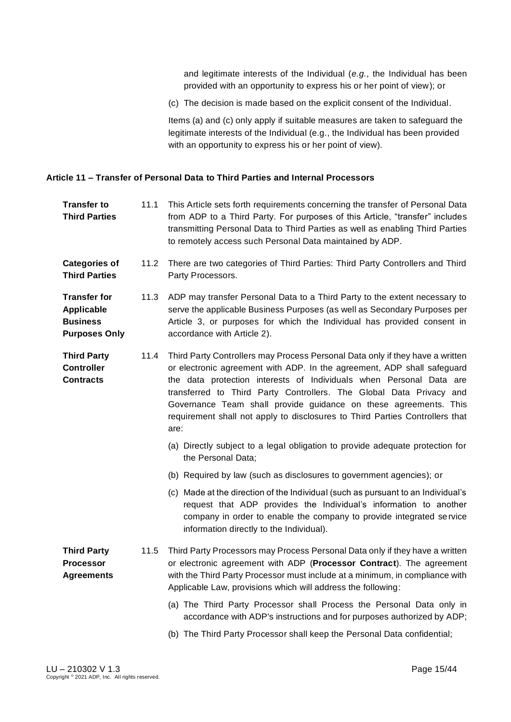and legitimate interests of the Individual (*e.g.*, the Individual has been provided with an opportunity to express his or her point of view); or

(c) The decision is made based on the explicit consent of the Individual.

Items (a) and (c) only apply if suitable measures are taken to safeguard the legitimate interests of the Individual (e.g., the Individual has been provided with an opportunity to express his or her point of view).

#### <span id="page-14-0"></span>**Article 11 – Transfer of Personal Data to Third Parties and Internal Processors**

- **Transfer to Third Parties** 11.1 This Article sets forth requirements concerning the transfer of Personal Data from ADP to a Third Party. For purposes of this Article, "transfer" includes transmitting Personal Data to Third Parties as well as enabling Third Parties to remotely access such Personal Data maintained by ADP.
- **Categories of Third Parties** 11.2 There are two categories of Third Parties: Third Party Controllers and Third Party Processors.
- **Transfer for Applicable Business Purposes Only** 11.3 ADP may transfer Personal Data to a Third Party to the extent necessary to serve the applicable Business Purposes (as well as Secondary Purposes per Article 3, or purposes for which the Individual has provided consent in accordance with Article 2).
- **Third Party Controller Contracts** 11.4 Third Party Controllers may Process Personal Data only if they have a written or electronic agreement with ADP. In the agreement, ADP shall safeguard the data protection interests of Individuals when Personal Data are transferred to Third Party Controllers. The Global Data Privacy and Governance Team shall provide guidance on these agreements. This requirement shall not apply to disclosures to Third Parties Controllers that are:
	- (a) Directly subject to a legal obligation to provide adequate protection for the Personal Data;
	- (b) Required by law (such as disclosures to government agencies); or
	- (c) Made at the direction of the Individual (such as pursuant to an Individual's request that ADP provides the Individual's information to another company in order to enable the company to provide integrated service information directly to the Individual).
- **Third Party Processor Agreements** 11.5 Third Party Processors may Process Personal Data only if they have a written or electronic agreement with ADP (**Processor Contract**). The agreement with the Third Party Processor must include at a minimum, in compliance with Applicable Law, provisions which will address the following:
	- (a) The Third Party Processor shall Process the Personal Data only in accordance with ADP's instructions and for purposes authorized by ADP;
	- (b) The Third Party Processor shall keep the Personal Data confidential;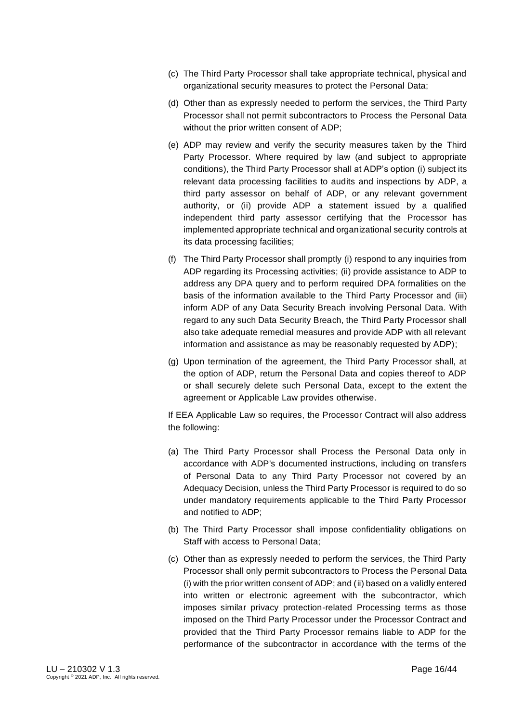- (c) The Third Party Processor shall take appropriate technical, physical and organizational security measures to protect the Personal Data;
- (d) Other than as expressly needed to perform the services, the Third Party Processor shall not permit subcontractors to Process the Personal Data without the prior written consent of ADP;
- (e) ADP may review and verify the security measures taken by the Third Party Processor. Where required by law (and subject to appropriate conditions), the Third Party Processor shall at ADP's option (i) subject its relevant data processing facilities to audits and inspections by ADP, a third party assessor on behalf of ADP, or any relevant government authority, or (ii) provide ADP a statement issued by a qualified independent third party assessor certifying that the Processor has implemented appropriate technical and organizational security controls at its data processing facilities;
- (f) The Third Party Processor shall promptly (i) respond to any inquiries from ADP regarding its Processing activities; (ii) provide assistance to ADP to address any DPA query and to perform required DPA formalities on the basis of the information available to the Third Party Processor and (iii) inform ADP of any Data Security Breach involving Personal Data. With regard to any such Data Security Breach, the Third Party Processor shall also take adequate remedial measures and provide ADP with all relevant information and assistance as may be reasonably requested by ADP);
- (g) Upon termination of the agreement, the Third Party Processor shall, at the option of ADP, return the Personal Data and copies thereof to ADP or shall securely delete such Personal Data, except to the extent the agreement or Applicable Law provides otherwise.

If EEA Applicable Law so requires, the Processor Contract will also address the following:

- (a) The Third Party Processor shall Process the Personal Data only in accordance with ADP's documented instructions, including on transfers of Personal Data to any Third Party Processor not covered by an Adequacy Decision, unless the Third Party Processor is required to do so under mandatory requirements applicable to the Third Party Processor and notified to ADP;
- (b) The Third Party Processor shall impose confidentiality obligations on Staff with access to Personal Data;
- (c) Other than as expressly needed to perform the services, the Third Party Processor shall only permit subcontractors to Process the Personal Data (i) with the prior written consent of ADP; and (ii) based on a validly entered into written or electronic agreement with the subcontractor, which imposes similar privacy protection-related Processing terms as those imposed on the Third Party Processor under the Processor Contract and provided that the Third Party Processor remains liable to ADP for the performance of the subcontractor in accordance with the terms of the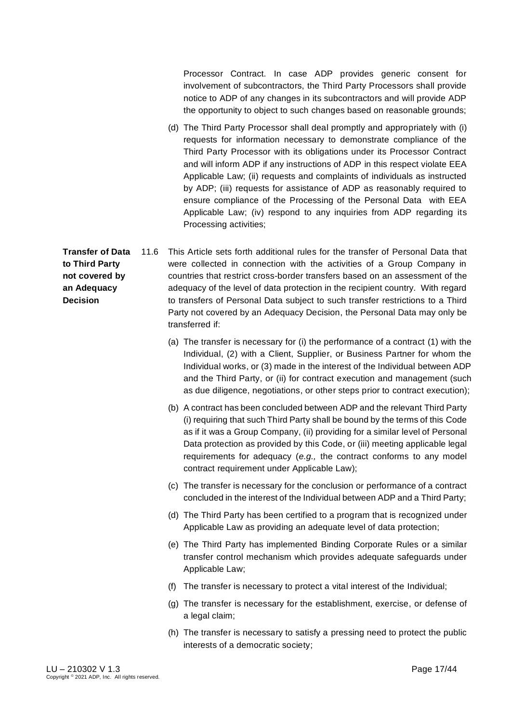Processor Contract. In case ADP provides generic consent for involvement of subcontractors, the Third Party Processors shall provide notice to ADP of any changes in its subcontractors and will provide ADP the opportunity to object to such changes based on reasonable grounds;

(d) The Third Party Processor shall deal promptly and appropriately with (i) requests for information necessary to demonstrate compliance of the Third Party Processor with its obligations under its Processor Contract and will inform ADP if any instructions of ADP in this respect violate EEA Applicable Law; (ii) requests and complaints of individuals as instructed by ADP; (iii) requests for assistance of ADP as reasonably required to ensure compliance of the Processing of the Personal Data with EEA Applicable Law; (iv) respond to any inquiries from ADP regarding its Processing activities;

**Transfer of Data to Third Party not covered by an Adequacy Decision**  11.6 This Article sets forth additional rules for the transfer of Personal Data that were collected in connection with the activities of a Group Company in countries that restrict cross-border transfers based on an assessment of the adequacy of the level of data protection in the recipient country. With regard to transfers of Personal Data subject to such transfer restrictions to a Third Party not covered by an Adequacy Decision, the Personal Data may only be transferred if:

- (a) The transfer is necessary for (i) the performance of a contract (1) with the Individual, (2) with a Client, Supplier, or Business Partner for whom the Individual works, or (3) made in the interest of the Individual between ADP and the Third Party, or (ii) for contract execution and management (such as due diligence, negotiations, or other steps prior to contract execution);
- (b) A contract has been concluded between ADP and the relevant Third Party (i) requiring that such Third Party shall be bound by the terms of this Code as if it was a Group Company, (ii) providing for a similar level of Personal Data protection as provided by this Code, or (iii) meeting applicable legal requirements for adequacy (*e.g.,* the contract conforms to any model contract requirement under Applicable Law);
- (c) The transfer is necessary for the conclusion or performance of a contract concluded in the interest of the Individual between ADP and a Third Party;
- (d) The Third Party has been certified to a program that is recognized under Applicable Law as providing an adequate level of data protection;
- (e) The Third Party has implemented Binding Corporate Rules or a similar transfer control mechanism which provides adequate safeguards under Applicable Law;
- (f) The transfer is necessary to protect a vital interest of the Individual;
- (g) The transfer is necessary for the establishment, exercise, or defense of a legal claim;
- (h) The transfer is necessary to satisfy a pressing need to protect the public interests of a democratic society;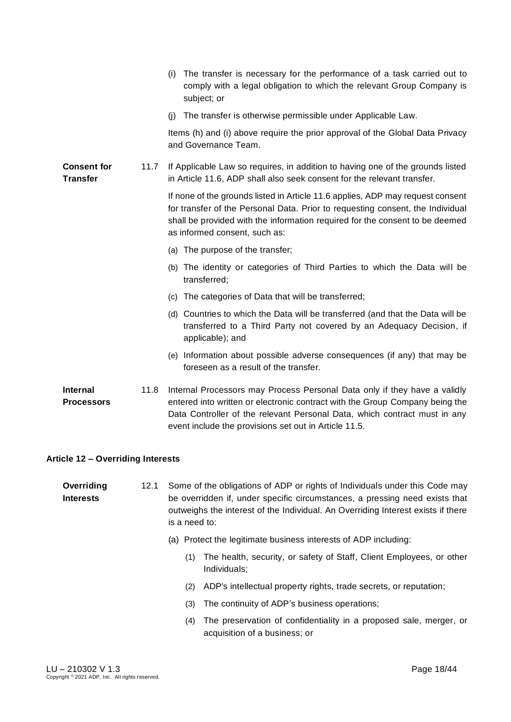|                                       |      | (i) The transfer is necessary for the performance of a task carried out to<br>comply with a legal obligation to which the relevant Group Company is<br>subject; or                                                                                                                              |
|---------------------------------------|------|-------------------------------------------------------------------------------------------------------------------------------------------------------------------------------------------------------------------------------------------------------------------------------------------------|
|                                       |      | (j) The transfer is otherwise permissible under Applicable Law.                                                                                                                                                                                                                                 |
|                                       |      | Items (h) and (i) above require the prior approval of the Global Data Privacy<br>and Governance Team.                                                                                                                                                                                           |
| <b>Consent for</b><br><b>Transfer</b> | 11.7 | If Applicable Law so requires, in addition to having one of the grounds listed<br>in Article 11.6, ADP shall also seek consent for the relevant transfer.                                                                                                                                       |
|                                       |      | If none of the grounds listed in Article 11.6 applies, ADP may request consent<br>for transfer of the Personal Data. Prior to requesting consent, the Individual<br>shall be provided with the information required for the consent to be deemed<br>as informed consent, such as:               |
|                                       |      | (a) The purpose of the transfer;                                                                                                                                                                                                                                                                |
|                                       |      | (b) The identity or categories of Third Parties to which the Data will be<br>transferred;                                                                                                                                                                                                       |
|                                       |      | (c) The categories of Data that will be transferred;                                                                                                                                                                                                                                            |
|                                       |      | (d) Countries to which the Data will be transferred (and that the Data will be<br>transferred to a Third Party not covered by an Adequacy Decision, if<br>applicable); and                                                                                                                      |
|                                       |      | (e) Information about possible adverse consequences (if any) that may be<br>foreseen as a result of the transfer.                                                                                                                                                                               |
| <b>Internal</b><br><b>Processors</b>  | 11.8 | Internal Processors may Process Personal Data only if they have a validly<br>entered into written or electronic contract with the Group Company being the<br>Data Controller of the relevant Personal Data, which contract must in any<br>event include the provisions set out in Article 11.5. |

### <span id="page-17-0"></span>**Article 12 – Overriding Interests**

**Overriding Interests** 12.1 Some of the obligations of ADP or rights of Individuals under this Code may be overridden if, under specific circumstances, a pressing need exists that outweighs the interest of the Individual. An Overriding Interest exists if there is a need to:

- (a) Protect the legitimate business interests of ADP including:
	- (1) The health, security, or safety of Staff, Client Employees, or other Individuals;
	- (2) ADP's intellectual property rights, trade secrets, or reputation;
	- (3) The continuity of ADP's business operations;
	- (4) The preservation of confidentiality in a proposed sale, merger, or acquisition of a business; or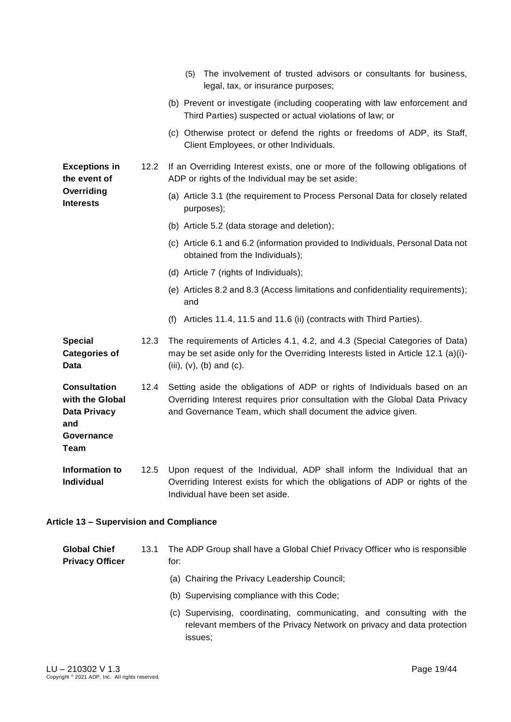|                                                                                            |      | The involvement of trusted advisors or consultants for business,<br>(5)<br>legal, tax, or insurance purposes;                                                                                                            |
|--------------------------------------------------------------------------------------------|------|--------------------------------------------------------------------------------------------------------------------------------------------------------------------------------------------------------------------------|
|                                                                                            |      | (b) Prevent or investigate (including cooperating with law enforcement and<br>Third Parties) suspected or actual violations of law; or                                                                                   |
|                                                                                            |      | (c) Otherwise protect or defend the rights or freedoms of ADP, its Staff,<br>Client Employees, or other Individuals.                                                                                                     |
| <b>Exceptions in</b><br>the event of                                                       | 12.2 | If an Overriding Interest exists, one or more of the following obligations of<br>ADP or rights of the Individual may be set aside:                                                                                       |
| Overriding<br><b>Interests</b>                                                             |      | (a) Article 3.1 (the requirement to Process Personal Data for closely related<br>purposes);                                                                                                                              |
|                                                                                            |      | (b) Article 5.2 (data storage and deletion);                                                                                                                                                                             |
|                                                                                            |      | (c) Article 6.1 and 6.2 (information provided to Individuals, Personal Data not<br>obtained from the Individuals);                                                                                                       |
|                                                                                            |      | (d) Article 7 (rights of Individuals);                                                                                                                                                                                   |
|                                                                                            |      | (e) Articles 8.2 and 8.3 (Access limitations and confidentiality requirements);<br>and                                                                                                                                   |
|                                                                                            |      | (f) Articles 11.4, 11.5 and 11.6 (ii) (contracts with Third Parties).                                                                                                                                                    |
| <b>Special</b><br><b>Categories of</b><br><b>Data</b>                                      | 12.3 | The requirements of Articles 4.1, 4.2, and 4.3 (Special Categories of Data)<br>may be set aside only for the Overriding Interests listed in Article 12.1 (a)(i)-<br>(iii), $(v)$ , $(b)$ and $(c)$ .                     |
| <b>Consultation</b><br>with the Global<br><b>Data Privacy</b><br>and<br>Governance<br>Team | 12.4 | Setting aside the obligations of ADP or rights of Individuals based on an<br>Overriding Interest requires prior consultation with the Global Data Privacy<br>and Governance Team, which shall document the advice given. |
| Information to<br><b>Individual</b>                                                        | 12.5 | Upon request of the Individual, ADP shall inform the Individual that an<br>Overriding Interest exists for which the obligations of ADP or rights of the<br>Individual have been set aside.                               |

# <span id="page-18-0"></span>**Article 13 – Supervision and Compliance**

| <b>Global Chief</b><br><b>Privacy Officer</b> | 13.1 | The ADP Group shall have a Global Chief Privacy Officer who is responsible<br>for:                                                                         |
|-----------------------------------------------|------|------------------------------------------------------------------------------------------------------------------------------------------------------------|
|                                               |      | (a) Chairing the Privacy Leadership Council;                                                                                                               |
|                                               |      | (b) Supervising compliance with this Code;                                                                                                                 |
|                                               |      | (c) Supervising, coordinating, communicating, and consulting with the<br>relevant members of the Privacy Network on privacy and data protection<br>issues: |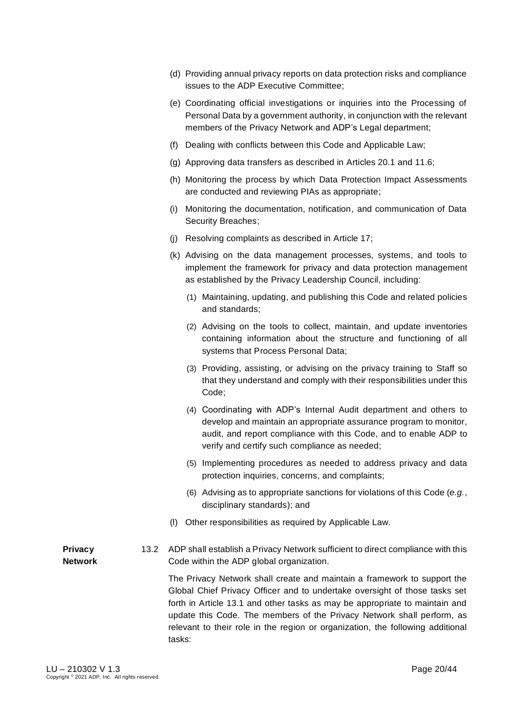- (d) Providing annual privacy reports on data protection risks and compliance issues to the ADP Executive Committee;
- (e) Coordinating official investigations or inquiries into the Processing of Personal Data by a government authority, in conjunction with the relevant members of the Privacy Network and ADP's Legal department;
- (f) Dealing with conflicts between this Code and Applicable Law;
- (g) Approving data transfers as described in Articles 20.1 and 11.6;
- (h) Monitoring the process by which Data Protection Impact Assessments are conducted and reviewing PIAs as appropriate;
- (i) Monitoring the documentation, notification, and communication of Data Security Breaches;
- (j) Resolving complaints as described in Article 17;
- (k) Advising on the data management processes, systems, and tools to implement the framework for privacy and data protection management as established by the Privacy Leadership Council, including:
	- (1) Maintaining, updating, and publishing this Code and related policies and standards;
	- (2) Advising on the tools to collect, maintain, and update inventories containing information about the structure and functioning of all systems that Process Personal Data;
	- (3) Providing, assisting, or advising on the privacy training to Staff so that they understand and comply with their responsibilities under this Code;
	- (4) Coordinating with ADP's Internal Audit department and others to develop and maintain an appropriate assurance program to monitor, audit, and report compliance with this Code, and to enable ADP to verify and certify such compliance as needed;
	- (5) Implementing procedures as needed to address privacy and data protection inquiries, concerns, and complaints;
	- (6) Advising as to appropriate sanctions for violations of this Code (*e.g.*, disciplinary standards); and
- (l) Other responsibilities as required by Applicable Law.
- **Privacy Network** 13.2 ADP shall establish a Privacy Network sufficient to direct compliance with this Code within the ADP global organization.

The Privacy Network shall create and maintain a framework to support the Global Chief Privacy Officer and to undertake oversight of those tasks set forth in Article 13.1 and other tasks as may be appropriate to maintain and update this Code. The members of the Privacy Network shall perform, as relevant to their role in the region or organization, the following additional tasks: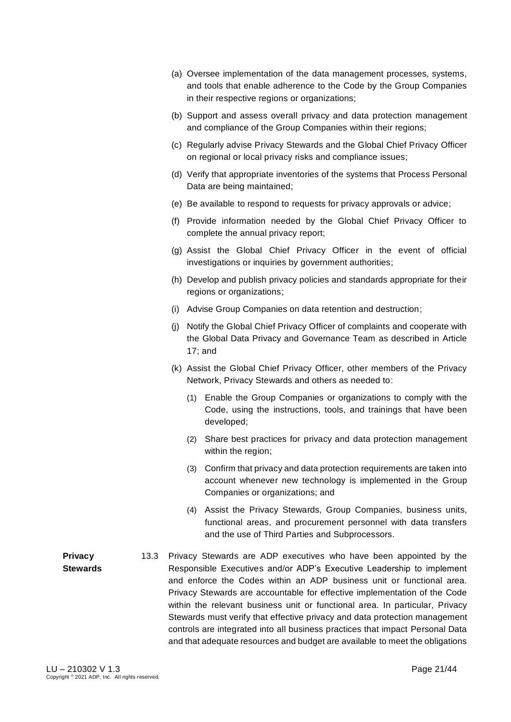- (a) Oversee implementation of the data management processes, systems, and tools that enable adherence to the Code by the Group Companies in their respective regions or organizations;
- (b) Support and assess overall privacy and data protection management and compliance of the Group Companies within their regions;
- (c) Regularly advise Privacy Stewards and the Global Chief Privacy Officer on regional or local privacy risks and compliance issues;
- (d) Verify that appropriate inventories of the systems that Process Personal Data are being maintained;
- (e) Be available to respond to requests for privacy approvals or advice;
- (f) Provide information needed by the Global Chief Privacy Officer to complete the annual privacy report;
- (g) Assist the Global Chief Privacy Officer in the event of official investigations or inquiries by government authorities;
- (h) Develop and publish privacy policies and standards appropriate for their regions or organizations;
- (i) Advise Group Companies on data retention and destruction;
- (j) Notify the Global Chief Privacy Officer of complaints and cooperate with the Global Data Privacy and Governance Team as described in Article 17; and
- (k) Assist the Global Chief Privacy Officer, other members of the Privacy Network, Privacy Stewards and others as needed to:
	- (1) Enable the Group Companies or organizations to comply with the Code, using the instructions, tools, and trainings that have been developed;
	- (2) Share best practices for privacy and data protection management within the region;
	- (3) Confirm that privacy and data protection requirements are taken into account whenever new technology is implemented in the Group Companies or organizations; and
	- (4) Assist the Privacy Stewards, Group Companies, business units, functional areas, and procurement personnel with data transfers and the use of Third Parties and Subprocessors.
- **Privacy Stewards** 13.3 Privacy Stewards are ADP executives who have been appointed by the Responsible Executives and/or ADP's Executive Leadership to implement and enforce the Codes within an ADP business unit or functional area. Privacy Stewards are accountable for effective implementation of the Code within the relevant business unit or functional area. In particular, Privacy Stewards must verify that effective privacy and data protection management controls are integrated into all business practices that impact Personal Data and that adequate resources and budget are available to meet the obligations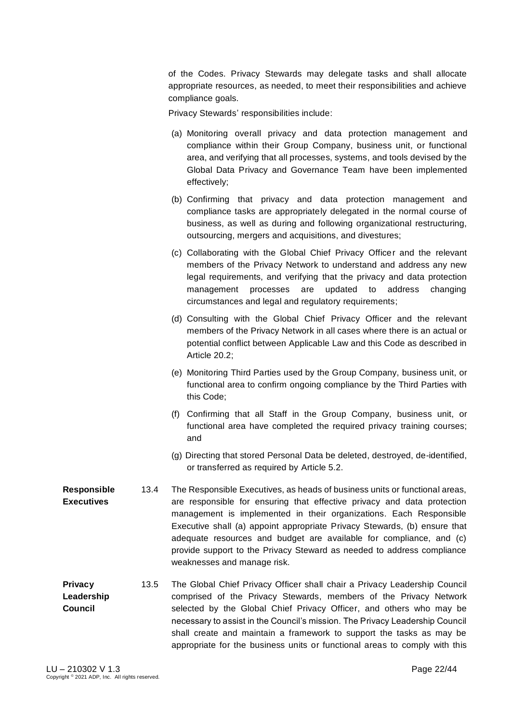of the Codes. Privacy Stewards may delegate tasks and shall allocate appropriate resources, as needed, to meet their responsibilities and achieve compliance goals.

Privacy Stewards' responsibilities include:

- (a) Monitoring overall privacy and data protection management and compliance within their Group Company, business unit, or functional area, and verifying that all processes, systems, and tools devised by the Global Data Privacy and Governance Team have been implemented effectively;
- (b) Confirming that privacy and data protection management and compliance tasks are appropriately delegated in the normal course of business, as well as during and following organizational restructuring, outsourcing, mergers and acquisitions, and divestures;
- (c) Collaborating with the Global Chief Privacy Officer and the relevant members of the Privacy Network to understand and address any new legal requirements, and verifying that the privacy and data protection management processes are updated to address changing circumstances and legal and regulatory requirements;
- (d) Consulting with the Global Chief Privacy Officer and the relevant members of the Privacy Network in all cases where there is an actual or potential conflict between Applicable Law and this Code as described in Article 20.2;
- (e) Monitoring Third Parties used by the Group Company, business unit, or functional area to confirm ongoing compliance by the Third Parties with this Code;
- (f) Confirming that all Staff in the Group Company, business unit, or functional area have completed the required privacy training courses; and
- (g) Directing that stored Personal Data be deleted, destroyed, de-identified, or transferred as required by Article 5.2.
- **Responsible Executives** 13.4 The Responsible Executives, as heads of business units or functional areas, are responsible for ensuring that effective privacy and data protection management is implemented in their organizations. Each Responsible Executive shall (a) appoint appropriate Privacy Stewards, (b) ensure that adequate resources and budget are available for compliance, and (c) provide support to the Privacy Steward as needed to address compliance weaknesses and manage risk.
- **Privacy Leadership Council**  13.5 The Global Chief Privacy Officer shall chair a Privacy Leadership Council comprised of the Privacy Stewards, members of the Privacy Network selected by the Global Chief Privacy Officer, and others who may be necessary to assist in the Council's mission. The Privacy Leadership Council shall create and maintain a framework to support the tasks as may be appropriate for the business units or functional areas to comply with this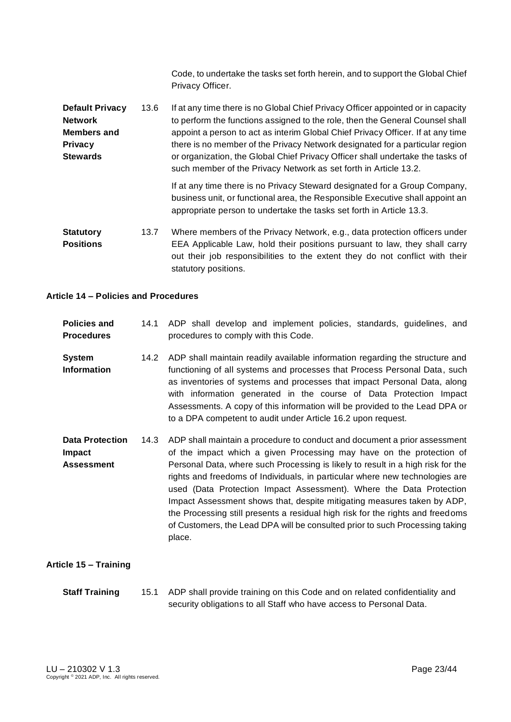Code, to undertake the tasks set forth herein, and to support the Global Chief Privacy Officer.

**Default Privacy Network Members and Privacy Stewards** 13.6 If at any time there is no Global Chief Privacy Officer appointed or in capacity to perform the functions assigned to the role, then the General Counsel shall appoint a person to act as interim Global Chief Privacy Officer. If at any time there is no member of the Privacy Network designated for a particular region or organization, the Global Chief Privacy Officer shall undertake the tasks of such member of the Privacy Network as set forth in Article 13.2.

If at any time there is no Privacy Steward designated for a Group Company, business unit, or functional area, the Responsible Executive shall appoint an appropriate person to undertake the tasks set forth in Article 13.3.

**Statutory Positions** 13.7 Where members of the Privacy Network, e.g., data protection officers under EEA Applicable Law, hold their positions pursuant to law, they shall carry out their job responsibilities to the extent they do not conflict with their statutory positions.

#### <span id="page-22-0"></span>**Article 14 – Policies and Procedures**

| <b>Policies and</b><br><b>Procedures</b>                     | 14.1 | ADP shall develop and implement policies, standards, guidelines, and<br>procedures to comply with this Code.                                                                                                                                                                                                                                                                                                                                                                                                                                                                                                                                       |
|--------------------------------------------------------------|------|----------------------------------------------------------------------------------------------------------------------------------------------------------------------------------------------------------------------------------------------------------------------------------------------------------------------------------------------------------------------------------------------------------------------------------------------------------------------------------------------------------------------------------------------------------------------------------------------------------------------------------------------------|
| <b>System</b><br><b>Information</b>                          | 14.2 | ADP shall maintain readily available information regarding the structure and<br>functioning of all systems and processes that Process Personal Data, such<br>as inventories of systems and processes that impact Personal Data, along<br>with information generated in the course of Data Protection Impact<br>Assessments. A copy of this information will be provided to the Lead DPA or<br>to a DPA competent to audit under Article 16.2 upon request.                                                                                                                                                                                         |
| <b>Data Protection</b><br><b>Impact</b><br><b>Assessment</b> | 14.3 | ADP shall maintain a procedure to conduct and document a prior assessment<br>of the impact which a given Processing may have on the protection of<br>Personal Data, where such Processing is likely to result in a high risk for the<br>rights and freedoms of Individuals, in particular where new technologies are<br>used (Data Protection Impact Assessment). Where the Data Protection<br>Impact Assessment shows that, despite mitigating measures taken by ADP,<br>the Processing still presents a residual high risk for the rights and freedoms<br>of Customers, the Lead DPA will be consulted prior to such Processing taking<br>place. |

#### <span id="page-22-1"></span>**Article 15 – Training**

**Staff Training** 15.1 ADP shall provide training on this Code and on related confidentiality and security obligations to all Staff who have access to Personal Data.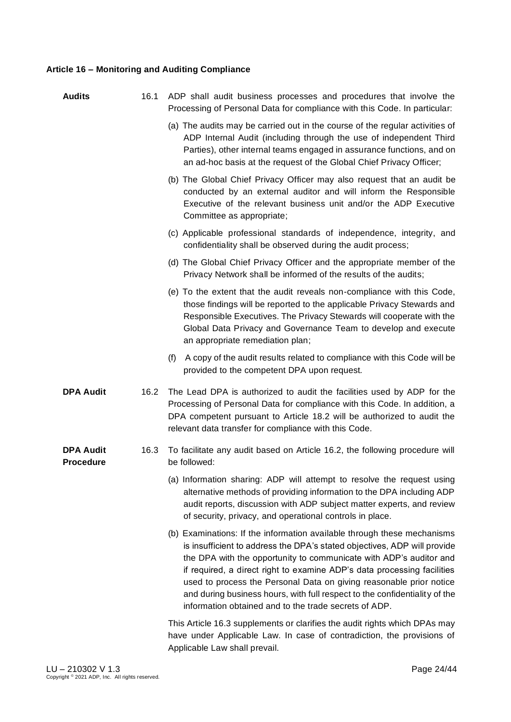## <span id="page-23-0"></span>**Article 16 – Monitoring and Auditing Compliance**

| <b>Audits</b>                        | 16.1 | ADP shall audit business processes and procedures that involve the<br>Processing of Personal Data for compliance with this Code. In particular:                                                                                                                                                                                                                                                                                                                                                                    |
|--------------------------------------|------|--------------------------------------------------------------------------------------------------------------------------------------------------------------------------------------------------------------------------------------------------------------------------------------------------------------------------------------------------------------------------------------------------------------------------------------------------------------------------------------------------------------------|
|                                      |      | (a) The audits may be carried out in the course of the regular activities of<br>ADP Internal Audit (including through the use of independent Third<br>Parties), other internal teams engaged in assurance functions, and on<br>an ad-hoc basis at the request of the Global Chief Privacy Officer;                                                                                                                                                                                                                 |
|                                      |      | (b) The Global Chief Privacy Officer may also request that an audit be<br>conducted by an external auditor and will inform the Responsible<br>Executive of the relevant business unit and/or the ADP Executive<br>Committee as appropriate;                                                                                                                                                                                                                                                                        |
|                                      |      | (c) Applicable professional standards of independence, integrity, and<br>confidentiality shall be observed during the audit process;                                                                                                                                                                                                                                                                                                                                                                               |
|                                      |      | (d) The Global Chief Privacy Officer and the appropriate member of the<br>Privacy Network shall be informed of the results of the audits;                                                                                                                                                                                                                                                                                                                                                                          |
|                                      |      | (e) To the extent that the audit reveals non-compliance with this Code,<br>those findings will be reported to the applicable Privacy Stewards and<br>Responsible Executives. The Privacy Stewards will cooperate with the<br>Global Data Privacy and Governance Team to develop and execute<br>an appropriate remediation plan;                                                                                                                                                                                    |
|                                      |      | A copy of the audit results related to compliance with this Code will be<br>(f)<br>provided to the competent DPA upon request.                                                                                                                                                                                                                                                                                                                                                                                     |
| <b>DPA Audit</b>                     | 16.2 | The Lead DPA is authorized to audit the facilities used by ADP for the<br>Processing of Personal Data for compliance with this Code. In addition, a<br>DPA competent pursuant to Article 18.2 will be authorized to audit the<br>relevant data transfer for compliance with this Code.                                                                                                                                                                                                                             |
| <b>DPA Audit</b><br><b>Procedure</b> | 16.3 | To facilitate any audit based on Article 16.2, the following procedure will<br>be followed:                                                                                                                                                                                                                                                                                                                                                                                                                        |
|                                      |      | (a) Information sharing: ADP will attempt to resolve the request using<br>alternative methods of providing information to the DPA including ADP<br>audit reports, discussion with ADP subject matter experts, and review<br>of security, privacy, and operational controls in place.                                                                                                                                                                                                                               |
|                                      |      | (b) Examinations: If the information available through these mechanisms<br>is insufficient to address the DPA's stated objectives, ADP will provide<br>the DPA with the opportunity to communicate with ADP's auditor and<br>if required, a direct right to examine ADP's data processing facilities<br>used to process the Personal Data on giving reasonable prior notice<br>and during business hours, with full respect to the confidentiality of the<br>information obtained and to the trade secrets of ADP. |
|                                      |      | This Article 16.3 supplements or clarifies the audit rights which DPAs may<br>have under Applicable Law. In case of contradiction, the provisions of<br>Applicable Law shall prevail.                                                                                                                                                                                                                                                                                                                              |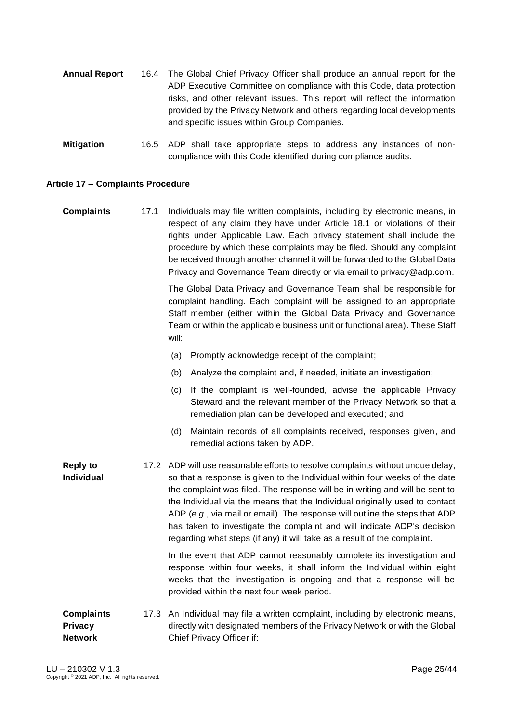- **Annual Report** 16.4 The Global Chief Privacy Officer shall produce an annual report for the ADP Executive Committee on compliance with this Code, data protection risks, and other relevant issues. This report will reflect the information provided by the Privacy Network and others regarding local developments and specific issues within Group Companies.
- **Mitigation** 16.5 ADP shall take appropriate steps to address any instances of noncompliance with this Code identified during compliance audits.

#### <span id="page-24-0"></span>**Article 17 – Complaints Procedure**

**Complaints** 17.1 Individuals may file written complaints, including by electronic means, in respect of any claim they have under Article 18.1 or violations of their rights under Applicable Law. Each privacy statement shall include the procedure by which these complaints may be filed. Should any complaint be received through another channel it will be forwarded to the Global Data Privacy and Governance Team directly or via email to [privacy@adp.com.](mailto:privacy@adp.com)

> The Global Data Privacy and Governance Team shall be responsible for complaint handling. Each complaint will be assigned to an appropriate Staff member (either within the Global Data Privacy and Governance Team or within the applicable business unit or functional area). These Staff will:

- (a) Promptly acknowledge receipt of the complaint;
- (b) Analyze the complaint and, if needed, initiate an investigation;
- (c) If the complaint is well-founded, advise the applicable Privacy Steward and the relevant member of the Privacy Network so that a remediation plan can be developed and executed; and
- (d) Maintain records of all complaints received, responses given, and remedial actions taken by ADP.
- **Reply to Individual** 17.2 ADP will use reasonable efforts to resolve complaints without undue delay, so that a response is given to the Individual within four weeks of the date the complaint was filed. The response will be in writing and will be sent to the Individual via the means that the Individual originally used to contact ADP (*e.g.*, via mail or email). The response will outline the steps that ADP has taken to investigate the complaint and will indicate ADP's decision regarding what steps (if any) it will take as a result of the complaint.

In the event that ADP cannot reasonably complete its investigation and response within four weeks, it shall inform the Individual within eight weeks that the investigation is ongoing and that a response will be provided within the next four week period.

#### **Complaints Privacy Network** 17.3 An Individual may file a written complaint, including by electronic means, directly with designated members of the Privacy Network or with the Global Chief Privacy Officer if: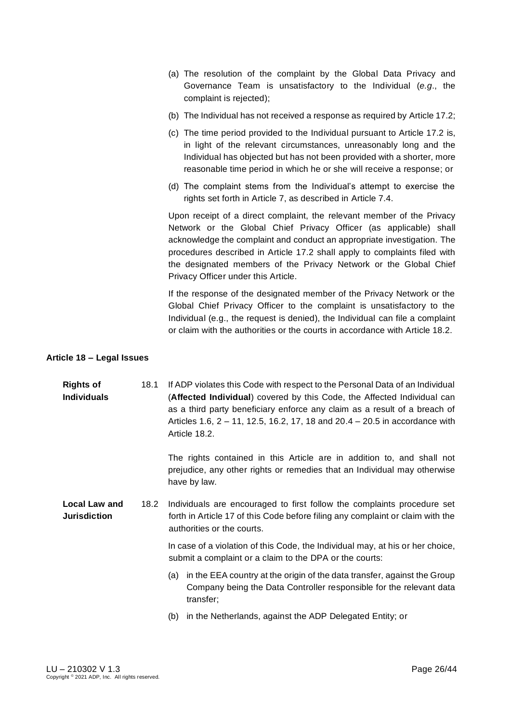- (a) The resolution of the complaint by the Global Data Privacy and Governance Team is unsatisfactory to the Individual (*e.g*., the complaint is rejected);
- (b) The Individual has not received a response as required by Article 17.2;
- (c) The time period provided to the Individual pursuant to Article 17.2 is, in light of the relevant circumstances, unreasonably long and the Individual has objected but has not been provided with a shorter, more reasonable time period in which he or she will receive a response; or
- (d) The complaint stems from the Individual's attempt to exercise the rights set forth in Article 7, as described in Article 7.4.

Upon receipt of a direct complaint, the relevant member of the Privacy Network or the Global Chief Privacy Officer (as applicable) shall acknowledge the complaint and conduct an appropriate investigation. The procedures described in Article 17.2 shall apply to complaints filed with the designated members of the Privacy Network or the Global Chief Privacy Officer under this Article.

If the response of the designated member of the Privacy Network or the Global Chief Privacy Officer to the complaint is unsatisfactory to the Individual (e.g., the request is denied), the Individual can file a complaint or claim with the authorities or the courts in accordance with Article 18.2.

#### <span id="page-25-0"></span>**Article 18 – Legal Issues**

| <b>Rights of</b>   | 18.1 If ADP violates this Code with respect to the Personal Data of an Individual |
|--------------------|-----------------------------------------------------------------------------------|
| <b>Individuals</b> | (Affected Individual) covered by this Code, the Affected Individual can           |
|                    | as a third party beneficiary enforce any claim as a result of a breach of         |
|                    | Articles 1.6, 2 – 11, 12.5, 16.2, 17, 18 and 20.4 – 20.5 in accordance with       |
|                    | Article 18.2.                                                                     |

The rights contained in this Article are in addition to, and shall not prejudice, any other rights or remedies that an Individual may otherwise have by law.

**Local Law and Jurisdiction** 18.2 Individuals are encouraged to first follow the complaints procedure set forth in Article 17 of this Code before filing any complaint or claim with the authorities or the courts.

> In case of a violation of this Code, the Individual may, at his or her choice, submit a complaint or a claim to the DPA or the courts:

- (a) in the EEA country at the origin of the data transfer, against the Group Company being the Data Controller responsible for the relevant data transfer;
- (b) in the Netherlands, against the ADP Delegated Entity; or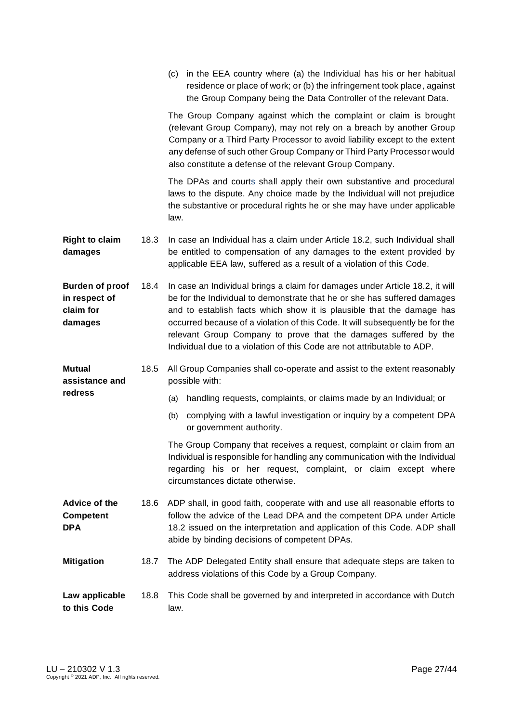|                                                                 |      | (c) in the EEA country where (a) the Individual has his or her habitual<br>residence or place of work; or (b) the infringement took place, against<br>the Group Company being the Data Controller of the relevant Data.                                                                                                                                                                                                                                           |
|-----------------------------------------------------------------|------|-------------------------------------------------------------------------------------------------------------------------------------------------------------------------------------------------------------------------------------------------------------------------------------------------------------------------------------------------------------------------------------------------------------------------------------------------------------------|
|                                                                 |      | The Group Company against which the complaint or claim is brought<br>(relevant Group Company), may not rely on a breach by another Group<br>Company or a Third Party Processor to avoid liability except to the extent<br>any defense of such other Group Company or Third Party Processor would<br>also constitute a defense of the relevant Group Company.                                                                                                      |
|                                                                 |      | The DPAs and courts shall apply their own substantive and procedural<br>laws to the dispute. Any choice made by the Individual will not prejudice<br>the substantive or procedural rights he or she may have under applicable<br>law.                                                                                                                                                                                                                             |
| <b>Right to claim</b><br>damages                                | 18.3 | In case an Individual has a claim under Article 18.2, such Individual shall<br>be entitled to compensation of any damages to the extent provided by<br>applicable EEA law, suffered as a result of a violation of this Code.                                                                                                                                                                                                                                      |
| <b>Burden of proof</b><br>in respect of<br>claim for<br>damages | 18.4 | In case an Individual brings a claim for damages under Article 18.2, it will<br>be for the Individual to demonstrate that he or she has suffered damages<br>and to establish facts which show it is plausible that the damage has<br>occurred because of a violation of this Code. It will subsequently be for the<br>relevant Group Company to prove that the damages suffered by the<br>Individual due to a violation of this Code are not attributable to ADP. |
|                                                                 |      |                                                                                                                                                                                                                                                                                                                                                                                                                                                                   |
| <b>Mutual</b><br>assistance and                                 | 18.5 | All Group Companies shall co-operate and assist to the extent reasonably<br>possible with:                                                                                                                                                                                                                                                                                                                                                                        |
| redress                                                         |      | handling requests, complaints, or claims made by an Individual; or<br>(a)                                                                                                                                                                                                                                                                                                                                                                                         |
|                                                                 |      | complying with a lawful investigation or inquiry by a competent DPA<br>(b)<br>or government authority.                                                                                                                                                                                                                                                                                                                                                            |
|                                                                 |      | The Group Company that receives a request, complaint or claim from an<br>Individual is responsible for handling any communication with the Individual<br>regarding his or her request, complaint, or claim except where<br>circumstances dictate otherwise.                                                                                                                                                                                                       |
| Advice of the<br><b>Competent</b><br><b>DPA</b>                 | 18.6 | ADP shall, in good faith, cooperate with and use all reasonable efforts to<br>follow the advice of the Lead DPA and the competent DPA under Article<br>18.2 issued on the interpretation and application of this Code. ADP shall<br>abide by binding decisions of competent DPAs.                                                                                                                                                                                 |
| <b>Mitigation</b>                                               | 18.7 | The ADP Delegated Entity shall ensure that adequate steps are taken to<br>address violations of this Code by a Group Company.                                                                                                                                                                                                                                                                                                                                     |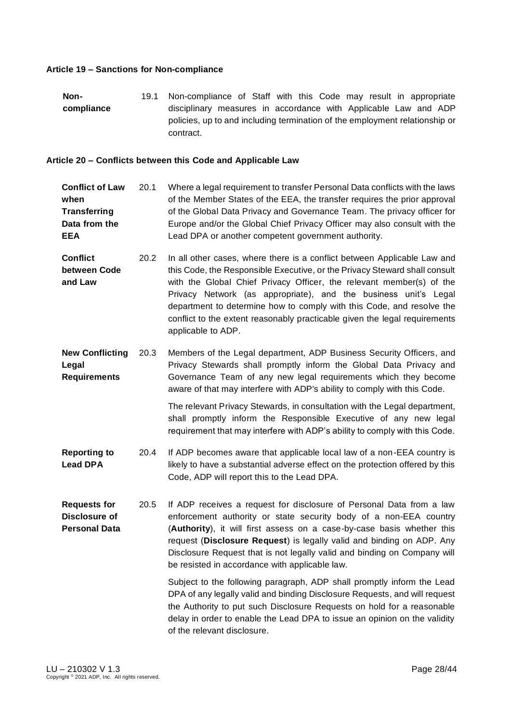#### <span id="page-27-0"></span>**Article 19 – Sanctions for Non-compliance**

**Noncompliance** 19.1 Non-compliance of Staff with this Code may result in appropriate disciplinary measures in accordance with Applicable Law and ADP policies, up to and including termination of the employment relationship or contract.

#### <span id="page-27-1"></span>**Article 20 – Conflicts between this Code and Applicable Law**

- **Conflict of Law when Transferring Data from the EEA**  20.1 Where a legal requirement to transfer Personal Data conflicts with the laws of the Member States of the EEA, the transfer requires the prior approval of the Global Data Privacy and Governance Team. The privacy officer for Europe and/or the Global Chief Privacy Officer may also consult with the Lead DPA or another competent government authority.
- **Conflict between Code and Law** 20.2 In all other cases, where there is a conflict between Applicable Law and this Code, the Responsible Executive, or the Privacy Steward shall consult with the Global Chief Privacy Officer, the relevant member(s) of the Privacy Network (as appropriate), and the business unit's Legal department to determine how to comply with this Code, and resolve the conflict to the extent reasonably practicable given the legal requirements applicable to ADP.
- **New Conflicting Legal Requirements** 20.3 Members of the Legal department, ADP Business Security Officers, and Privacy Stewards shall promptly inform the Global Data Privacy and Governance Team of any new legal requirements which they become aware of that may interfere with ADP's ability to comply with this Code.

The relevant Privacy Stewards, in consultation with the Legal department, shall promptly inform the Responsible Executive of any new legal requirement that may interfere with ADP's ability to comply with this Code.

- **Reporting to Lead DPA** 20.4 If ADP becomes aware that applicable local law of a non-EEA country is likely to have a substantial adverse effect on the protection offered by this Code, ADP will report this to the Lead DPA.
- **Requests for Disclosure of Personal Data** 20.5 If ADP receives a request for disclosure of Personal Data from a law enforcement authority or state security body of a non-EEA country (**Authority**), it will first assess on a case-by-case basis whether this request (**Disclosure Request**) is legally valid and binding on ADP. Any Disclosure Request that is not legally valid and binding on Company will be resisted in accordance with applicable law.

Subject to the following paragraph, ADP shall promptly inform the Lead DPA of any legally valid and binding Disclosure Requests, and will request the Authority to put such Disclosure Requests on hold for a reasonable delay in order to enable the Lead DPA to issue an opinion on the validity of the relevant disclosure.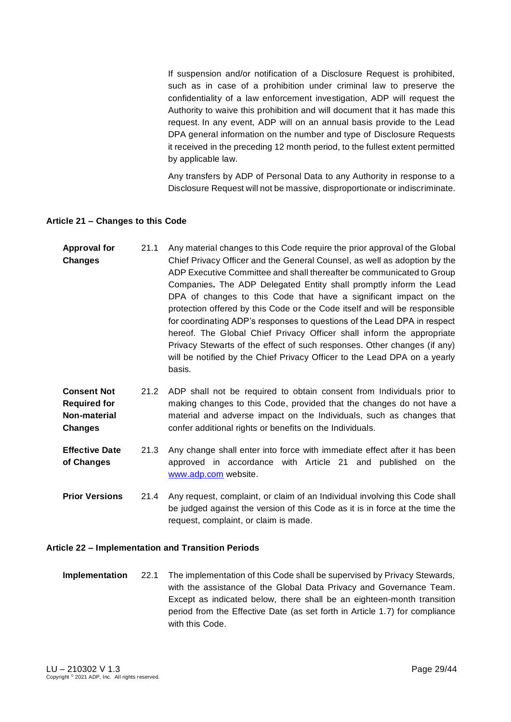If suspension and/or notification of a Disclosure Request is prohibited, such as in case of a prohibition under criminal law to preserve the confidentiality of a law enforcement investigation, ADP will request the Authority to waive this prohibition and will document that it has made this request. In any event, ADP will on an annual basis provide to the Lead DPA general information on the number and type of Disclosure Requests it received in the preceding 12 month period, to the fullest extent permitted by applicable law.

Any transfers by ADP of Personal Data to any Authority in response to a Disclosure Request will not be massive, disproportionate or indiscriminate.

#### <span id="page-28-0"></span>**Article 21 – Changes to this Code**

| <b>Approval for</b> | 21.1 | Any material changes to this Code require the prior approval of the Global |
|---------------------|------|----------------------------------------------------------------------------|
| <b>Changes</b>      |      | Chief Privacy Officer and the General Counsel, as well as adoption by the  |
|                     |      | ADP Executive Committee and shall thereafter be communicated to Group      |
|                     |      | Companies. The ADP Delegated Entity shall promptly inform the Lead         |
|                     |      | DPA of changes to this Code that have a significant impact on the          |
|                     |      | protection offered by this Code or the Code itself and will be responsible |
|                     |      | for coordinating ADP's responses to questions of the Lead DPA in respect   |
|                     |      | hereof. The Global Chief Privacy Officer shall inform the appropriate      |
|                     |      | Privacy Stewarts of the effect of such responses. Other changes (if any)   |
|                     |      | will be notified by the Chief Privacy Officer to the Lead DPA on a yearly  |
|                     |      | basis.                                                                     |

#### **Consent Not Required for Non-material Changes** 21.2 ADP shall not be required to obtain consent from Individuals prior to making changes to this Code, provided that the changes do not have a material and adverse impact on the Individuals, such as changes that confer additional rights or benefits on the Individuals.

**Effective Date of Changes** 21.3 Any change shall enter into force with immediate effect after it has been approved in accordance with Article 21 and published on the [www.adp.com](http://www.adp.com/) website.

**Prior Versions** 21.4 Any request, complaint, or claim of an Individual involving this Code shall be judged against the version of this Code as it is in force at the time the request, complaint, or claim is made.

#### <span id="page-28-1"></span>**Article 22 – Implementation and Transition Periods**

**Implementation** 22.1 The implementation of this Code shall be supervised by Privacy Stewards, with the assistance of the Global Data Privacy and Governance Team. Except as indicated below, there shall be an eighteen-month transition period from the Effective Date (as set forth in Article 1.7) for compliance with this Code.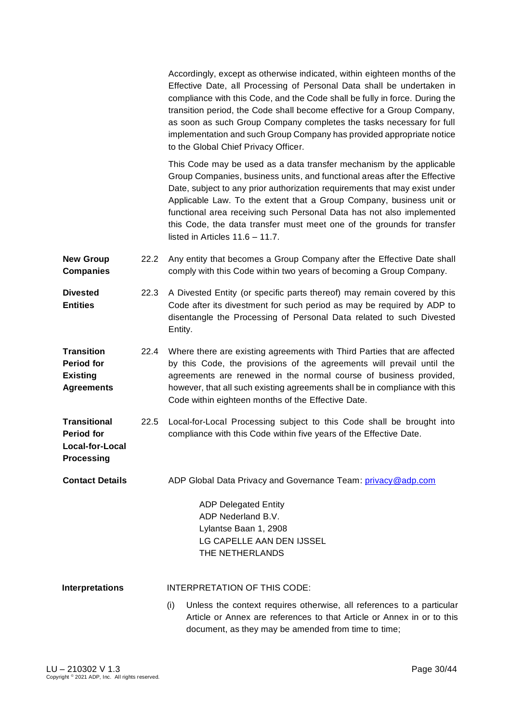Accordingly, except as otherwise indicated, within eighteen months of the Effective Date, all Processing of Personal Data shall be undertaken in compliance with this Code, and the Code shall be fully in force. During the transition period, the Code shall become effective for a Group Company, as soon as such Group Company completes the tasks necessary for full implementation and such Group Company has provided appropriate notice to the Global Chief Privacy Officer.

This Code may be used as a data transfer mechanism by the applicable Group Companies, business units, and functional areas after the Effective Date, subject to any prior authorization requirements that may exist under Applicable Law. To the extent that a Group Company, business unit or functional area receiving such Personal Data has not also implemented this Code, the data transfer must meet one of the grounds for transfer listed in Articles 11.6 – 11.7.

- **New Group Companies**  22.2 Any entity that becomes a Group Company after the Effective Date shall comply with this Code within two years of becoming a Group Company.
- **Divested Entities** 22.3 A Divested Entity (or specific parts thereof) may remain covered by this Code after its divestment for such period as may be required by ADP to disentangle the Processing of Personal Data related to such Divested Entity.
- **Transition Period for Existing Agreements** 22.4 Where there are existing agreements with Third Parties that are affected by this Code, the provisions of the agreements will prevail until the agreements are renewed in the normal course of business provided, however, that all such existing agreements shall be in compliance with this Code within eighteen months of the Effective Date.
- **Transitional Period for**  22.5 Local-for-Local Processing subject to this Code shall be brought into compliance with this Code within five years of the Effective Date.
- **Contact Details** ADP Global Data Privacy and Governance Team: [privacy@adp.com](mailto:privacy@adp.com)

ADP Delegated Entity ADP Nederland B.V. Lylantse Baan 1, 2908 LG CAPELLE AAN DEN IJSSEL THE NETHERLANDS

**Interpretations** INTERPRETATION OF THIS CODE:

(i) Unless the context requires otherwise, all references to a particular Article or Annex are references to that Article or Annex in or to this document, as they may be amended from time to time;

**Local-for-Local Processing**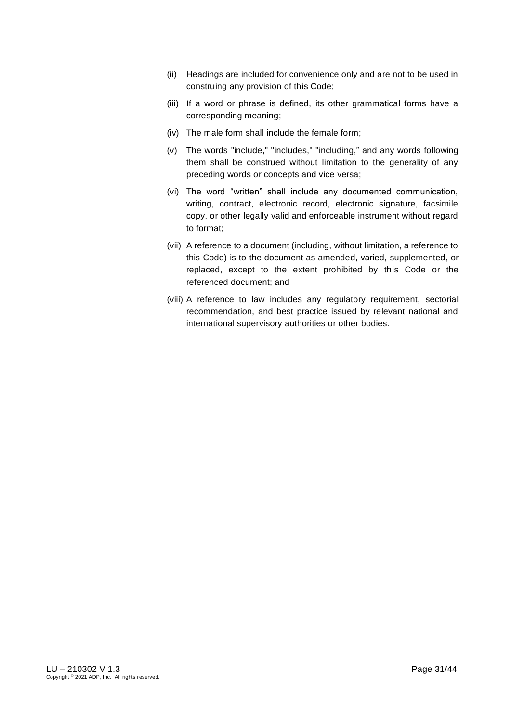- (ii) Headings are included for convenience only and are not to be used in construing any provision of this Code;
- (iii) If a word or phrase is defined, its other grammatical forms have a corresponding meaning;
- (iv) The male form shall include the female form;
- (v) The words "include," "includes," "including," and any words following them shall be construed without limitation to the generality of any preceding words or concepts and vice versa;
- (vi) The word "written" shall include any documented communication, writing, contract, electronic record, electronic signature, facsimile copy, or other legally valid and enforceable instrument without regard to format;
- (vii) A reference to a document (including, without limitation, a reference to this Code) is to the document as amended, varied, supplemented, or replaced, except to the extent prohibited by this Code or the referenced document; and
- <span id="page-30-0"></span>(viii) A reference to law includes any regulatory requirement, sectorial recommendation, and best practice issued by relevant national and international supervisory authorities or other bodies.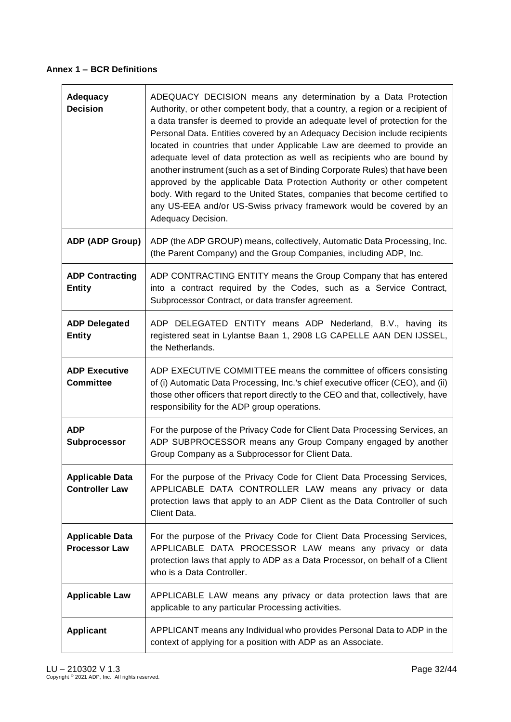## **Annex 1 – BCR Definitions**

| Adequacy<br><b>Decision</b>                     | ADEQUACY DECISION means any determination by a Data Protection<br>Authority, or other competent body, that a country, a region or a recipient of<br>a data transfer is deemed to provide an adequate level of protection for the<br>Personal Data. Entities covered by an Adequacy Decision include recipients<br>located in countries that under Applicable Law are deemed to provide an<br>adequate level of data protection as well as recipients who are bound by<br>another instrument (such as a set of Binding Corporate Rules) that have been<br>approved by the applicable Data Protection Authority or other competent<br>body. With regard to the United States, companies that become certified to<br>any US-EEA and/or US-Swiss privacy framework would be covered by an<br>Adequacy Decision. |
|-------------------------------------------------|-------------------------------------------------------------------------------------------------------------------------------------------------------------------------------------------------------------------------------------------------------------------------------------------------------------------------------------------------------------------------------------------------------------------------------------------------------------------------------------------------------------------------------------------------------------------------------------------------------------------------------------------------------------------------------------------------------------------------------------------------------------------------------------------------------------|
| <b>ADP (ADP Group)</b>                          | ADP (the ADP GROUP) means, collectively, Automatic Data Processing, Inc.<br>(the Parent Company) and the Group Companies, including ADP, Inc.                                                                                                                                                                                                                                                                                                                                                                                                                                                                                                                                                                                                                                                               |
| <b>ADP Contracting</b><br><b>Entity</b>         | ADP CONTRACTING ENTITY means the Group Company that has entered<br>into a contract required by the Codes, such as a Service Contract,<br>Subprocessor Contract, or data transfer agreement.                                                                                                                                                                                                                                                                                                                                                                                                                                                                                                                                                                                                                 |
| <b>ADP Delegated</b><br><b>Entity</b>           | ADP DELEGATED ENTITY means ADP Nederland, B.V., having its<br>registered seat in Lylantse Baan 1, 2908 LG CAPELLE AAN DEN IJSSEL,<br>the Netherlands.                                                                                                                                                                                                                                                                                                                                                                                                                                                                                                                                                                                                                                                       |
| <b>ADP Executive</b><br><b>Committee</b>        | ADP EXECUTIVE COMMITTEE means the committee of officers consisting<br>of (i) Automatic Data Processing, Inc.'s chief executive officer (CEO), and (ii)<br>those other officers that report directly to the CEO and that, collectively, have<br>responsibility for the ADP group operations.                                                                                                                                                                                                                                                                                                                                                                                                                                                                                                                 |
| <b>ADP</b><br>Subprocessor                      | For the purpose of the Privacy Code for Client Data Processing Services, an<br>ADP SUBPROCESSOR means any Group Company engaged by another<br>Group Company as a Subprocessor for Client Data.                                                                                                                                                                                                                                                                                                                                                                                                                                                                                                                                                                                                              |
| <b>Applicable Data</b><br><b>Controller Law</b> | For the purpose of the Privacy Code for Client Data Processing Services,<br>APPLICABLE DATA CONTROLLER LAW means any privacy or data<br>protection laws that apply to an ADP Client as the Data Controller of such<br>Client Data.                                                                                                                                                                                                                                                                                                                                                                                                                                                                                                                                                                          |
| <b>Applicable Data</b><br><b>Processor Law</b>  | For the purpose of the Privacy Code for Client Data Processing Services,<br>APPLICABLE DATA PROCESSOR LAW means any privacy or data<br>protection laws that apply to ADP as a Data Processor, on behalf of a Client<br>who is a Data Controller.                                                                                                                                                                                                                                                                                                                                                                                                                                                                                                                                                            |
| <b>Applicable Law</b>                           | APPLICABLE LAW means any privacy or data protection laws that are<br>applicable to any particular Processing activities.                                                                                                                                                                                                                                                                                                                                                                                                                                                                                                                                                                                                                                                                                    |
| <b>Applicant</b>                                | APPLICANT means any Individual who provides Personal Data to ADP in the<br>context of applying for a position with ADP as an Associate.                                                                                                                                                                                                                                                                                                                                                                                                                                                                                                                                                                                                                                                                     |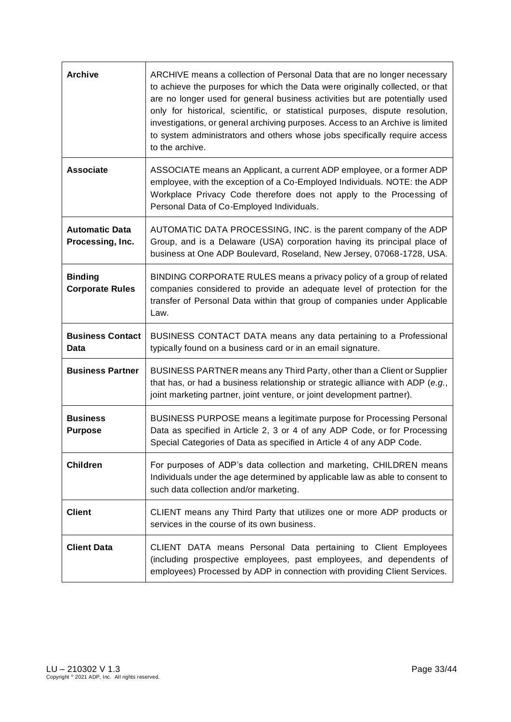| <b>Archive</b>                            | ARCHIVE means a collection of Personal Data that are no longer necessary<br>to achieve the purposes for which the Data were originally collected, or that<br>are no longer used for general business activities but are potentially used<br>only for historical, scientific, or statistical purposes, dispute resolution,<br>investigations, or general archiving purposes. Access to an Archive is limited<br>to system administrators and others whose jobs specifically require access<br>to the archive. |
|-------------------------------------------|--------------------------------------------------------------------------------------------------------------------------------------------------------------------------------------------------------------------------------------------------------------------------------------------------------------------------------------------------------------------------------------------------------------------------------------------------------------------------------------------------------------|
| <b>Associate</b>                          | ASSOCIATE means an Applicant, a current ADP employee, or a former ADP<br>employee, with the exception of a Co-Employed Individuals. NOTE: the ADP<br>Workplace Privacy Code therefore does not apply to the Processing of<br>Personal Data of Co-Employed Individuals.                                                                                                                                                                                                                                       |
| <b>Automatic Data</b><br>Processing, Inc. | AUTOMATIC DATA PROCESSING, INC. is the parent company of the ADP<br>Group, and is a Delaware (USA) corporation having its principal place of<br>business at One ADP Boulevard, Roseland, New Jersey, 07068-1728, USA.                                                                                                                                                                                                                                                                                        |
| <b>Binding</b><br><b>Corporate Rules</b>  | BINDING CORPORATE RULES means a privacy policy of a group of related<br>companies considered to provide an adequate level of protection for the<br>transfer of Personal Data within that group of companies under Applicable<br>Law.                                                                                                                                                                                                                                                                         |
| <b>Business Contact</b><br>Data           | BUSINESS CONTACT DATA means any data pertaining to a Professional<br>typically found on a business card or in an email signature.                                                                                                                                                                                                                                                                                                                                                                            |
| <b>Business Partner</b>                   | BUSINESS PARTNER means any Third Party, other than a Client or Supplier                                                                                                                                                                                                                                                                                                                                                                                                                                      |
|                                           | that has, or had a business relationship or strategic alliance with ADP (e.g.,<br>joint marketing partner, joint venture, or joint development partner).                                                                                                                                                                                                                                                                                                                                                     |
| <b>Business</b><br><b>Purpose</b>         | BUSINESS PURPOSE means a legitimate purpose for Processing Personal<br>Data as specified in Article 2, 3 or 4 of any ADP Code, or for Processing<br>Special Categories of Data as specified in Article 4 of any ADP Code.                                                                                                                                                                                                                                                                                    |
| <b>Children</b>                           | For purposes of ADP's data collection and marketing, CHILDREN means<br>Individuals under the age determined by applicable law as able to consent to<br>such data collection and/or marketing.                                                                                                                                                                                                                                                                                                                |
| <b>Client</b>                             | CLIENT means any Third Party that utilizes one or more ADP products or<br>services in the course of its own business.                                                                                                                                                                                                                                                                                                                                                                                        |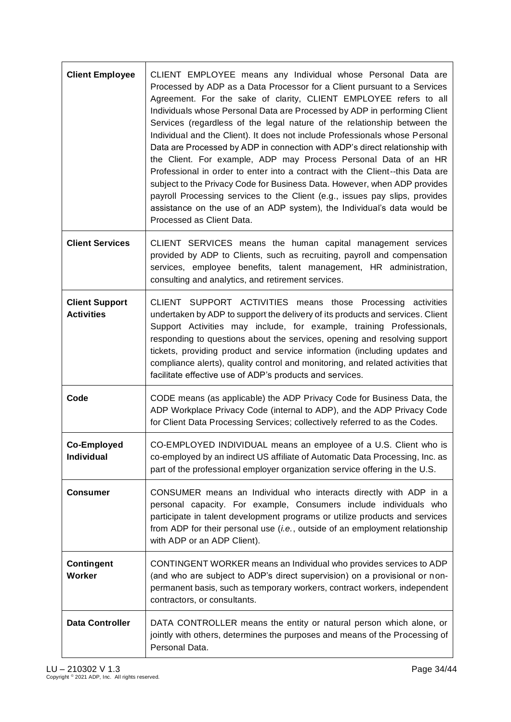| <b>Client Employee</b>                     | CLIENT EMPLOYEE means any Individual whose Personal Data are<br>Processed by ADP as a Data Processor for a Client pursuant to a Services<br>Agreement. For the sake of clarity, CLIENT EMPLOYEE refers to all<br>Individuals whose Personal Data are Processed by ADP in performing Client<br>Services (regardless of the legal nature of the relationship between the<br>Individual and the Client). It does not include Professionals whose Personal<br>Data are Processed by ADP in connection with ADP's direct relationship with<br>the Client. For example, ADP may Process Personal Data of an HR<br>Professional in order to enter into a contract with the Client--this Data are<br>subject to the Privacy Code for Business Data. However, when ADP provides<br>payroll Processing services to the Client (e.g., issues pay slips, provides<br>assistance on the use of an ADP system), the Individual's data would be<br>Processed as Client Data. |
|--------------------------------------------|---------------------------------------------------------------------------------------------------------------------------------------------------------------------------------------------------------------------------------------------------------------------------------------------------------------------------------------------------------------------------------------------------------------------------------------------------------------------------------------------------------------------------------------------------------------------------------------------------------------------------------------------------------------------------------------------------------------------------------------------------------------------------------------------------------------------------------------------------------------------------------------------------------------------------------------------------------------|
| <b>Client Services</b>                     | CLIENT SERVICES means the human capital management services<br>provided by ADP to Clients, such as recruiting, payroll and compensation<br>services, employee benefits, talent management, HR administration,<br>consulting and analytics, and retirement services.                                                                                                                                                                                                                                                                                                                                                                                                                                                                                                                                                                                                                                                                                           |
| <b>Client Support</b><br><b>Activities</b> | CLIENT SUPPORT ACTIVITIES means those Processing activities<br>undertaken by ADP to support the delivery of its products and services. Client<br>Support Activities may include, for example, training Professionals,<br>responding to questions about the services, opening and resolving support<br>tickets, providing product and service information (including updates and<br>compliance alerts), quality control and monitoring, and related activities that<br>facilitate effective use of ADP's products and services.                                                                                                                                                                                                                                                                                                                                                                                                                                |
| Code                                       | CODE means (as applicable) the ADP Privacy Code for Business Data, the<br>ADP Workplace Privacy Code (internal to ADP), and the ADP Privacy Code<br>for Client Data Processing Services; collectively referred to as the Codes.                                                                                                                                                                                                                                                                                                                                                                                                                                                                                                                                                                                                                                                                                                                               |
| <b>Co-Employed</b><br>Individual           | CO-EMPLOYED INDIVIDUAL means an employee of a U.S. Client who is<br>co-employed by an indirect US affiliate of Automatic Data Processing, Inc. as<br>part of the professional employer organization service offering in the U.S.                                                                                                                                                                                                                                                                                                                                                                                                                                                                                                                                                                                                                                                                                                                              |
| <b>Consumer</b>                            | CONSUMER means an Individual who interacts directly with ADP in a<br>personal capacity. For example, Consumers include individuals who<br>participate in talent development programs or utilize products and services<br>from ADP for their personal use (i.e., outside of an employment relationship<br>with ADP or an ADP Client).                                                                                                                                                                                                                                                                                                                                                                                                                                                                                                                                                                                                                          |
| <b>Contingent</b><br><b>Worker</b>         | CONTINGENT WORKER means an Individual who provides services to ADP<br>(and who are subject to ADP's direct supervision) on a provisional or non-<br>permanent basis, such as temporary workers, contract workers, independent<br>contractors, or consultants.                                                                                                                                                                                                                                                                                                                                                                                                                                                                                                                                                                                                                                                                                                 |
| <b>Data Controller</b>                     | DATA CONTROLLER means the entity or natural person which alone, or<br>jointly with others, determines the purposes and means of the Processing of<br>Personal Data.                                                                                                                                                                                                                                                                                                                                                                                                                                                                                                                                                                                                                                                                                                                                                                                           |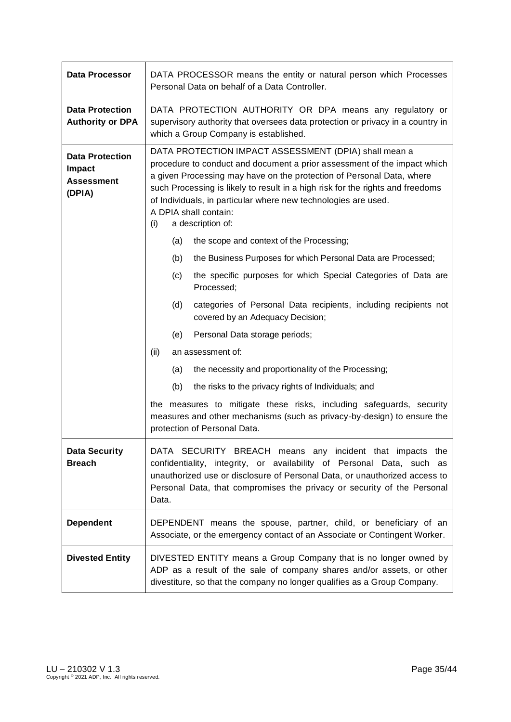| <b>Data Processor</b>                                           | DATA PROCESSOR means the entity or natural person which Processes<br>Personal Data on behalf of a Data Controller.                                                                                                                                                                                                                                                                                                  |
|-----------------------------------------------------------------|---------------------------------------------------------------------------------------------------------------------------------------------------------------------------------------------------------------------------------------------------------------------------------------------------------------------------------------------------------------------------------------------------------------------|
| <b>Data Protection</b><br><b>Authority or DPA</b>               | DATA PROTECTION AUTHORITY OR DPA means any regulatory or<br>supervisory authority that oversees data protection or privacy in a country in<br>which a Group Company is established.                                                                                                                                                                                                                                 |
| <b>Data Protection</b><br>Impact<br><b>Assessment</b><br>(DPIA) | DATA PROTECTION IMPACT ASSESSMENT (DPIA) shall mean a<br>procedure to conduct and document a prior assessment of the impact which<br>a given Processing may have on the protection of Personal Data, where<br>such Processing is likely to result in a high risk for the rights and freedoms<br>of Individuals, in particular where new technologies are used.<br>A DPIA shall contain:<br>(i)<br>a description of: |
|                                                                 | (a)<br>the scope and context of the Processing;                                                                                                                                                                                                                                                                                                                                                                     |
|                                                                 | the Business Purposes for which Personal Data are Processed;<br>(b)                                                                                                                                                                                                                                                                                                                                                 |
|                                                                 | the specific purposes for which Special Categories of Data are<br>(c)<br>Processed:                                                                                                                                                                                                                                                                                                                                 |
|                                                                 | (d)<br>categories of Personal Data recipients, including recipients not<br>covered by an Adequacy Decision;                                                                                                                                                                                                                                                                                                         |
|                                                                 | (e)<br>Personal Data storage periods;                                                                                                                                                                                                                                                                                                                                                                               |
|                                                                 | (ii)<br>an assessment of:                                                                                                                                                                                                                                                                                                                                                                                           |
|                                                                 | the necessity and proportionality of the Processing;<br>(a)                                                                                                                                                                                                                                                                                                                                                         |
|                                                                 | (b)<br>the risks to the privacy rights of Individuals; and                                                                                                                                                                                                                                                                                                                                                          |
|                                                                 | the measures to mitigate these risks, including safeguards, security<br>measures and other mechanisms (such as privacy-by-design) to ensure the<br>protection of Personal Data.                                                                                                                                                                                                                                     |
| <b>Data Security</b><br><b>Breach</b>                           | DATA SECURITY BREACH means any incident that impacts the<br>confidentiality, integrity, or availability of Personal Data, such as<br>unauthorized use or disclosure of Personal Data, or unauthorized access to<br>Personal Data, that compromises the privacy or security of the Personal<br>Data.                                                                                                                 |
| <b>Dependent</b>                                                | DEPENDENT means the spouse, partner, child, or beneficiary of an<br>Associate, or the emergency contact of an Associate or Contingent Worker.                                                                                                                                                                                                                                                                       |
| <b>Divested Entity</b>                                          | DIVESTED ENTITY means a Group Company that is no longer owned by<br>ADP as a result of the sale of company shares and/or assets, or other<br>divestiture, so that the company no longer qualifies as a Group Company.                                                                                                                                                                                               |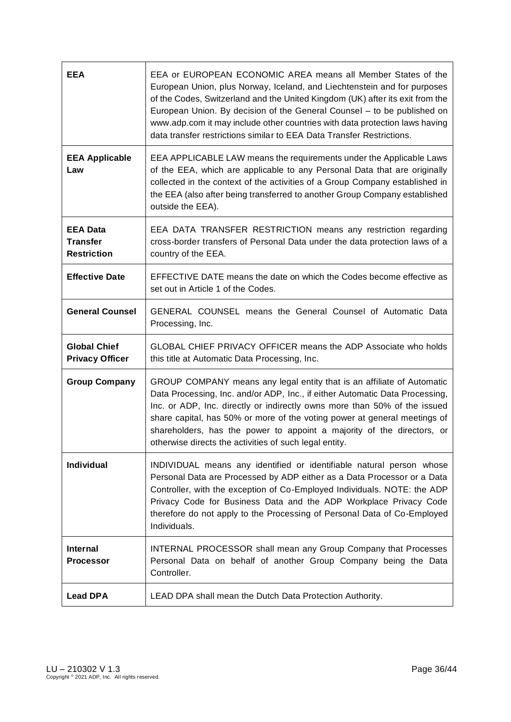| <b>EEA</b>                                               | EEA or EUROPEAN ECONOMIC AREA means all Member States of the<br>European Union, plus Norway, Iceland, and Liechtenstein and for purposes<br>of the Codes, Switzerland and the United Kingdom (UK) after its exit from the<br>European Union. By decision of the General Counsel – to be published on<br>www.adp.com it may include other countries with data protection laws having<br>data transfer restrictions similar to EEA Data Transfer Restrictions. |
|----------------------------------------------------------|--------------------------------------------------------------------------------------------------------------------------------------------------------------------------------------------------------------------------------------------------------------------------------------------------------------------------------------------------------------------------------------------------------------------------------------------------------------|
| <b>EEA Applicable</b><br>Law                             | EEA APPLICABLE LAW means the requirements under the Applicable Laws<br>of the EEA, which are applicable to any Personal Data that are originally<br>collected in the context of the activities of a Group Company established in<br>the EEA (also after being transferred to another Group Company established<br>outside the EEA).                                                                                                                          |
| <b>EEA Data</b><br><b>Transfer</b><br><b>Restriction</b> | EEA DATA TRANSFER RESTRICTION means any restriction regarding<br>cross-border transfers of Personal Data under the data protection laws of a<br>country of the EEA.                                                                                                                                                                                                                                                                                          |
| <b>Effective Date</b>                                    | EFFECTIVE DATE means the date on which the Codes become effective as<br>set out in Article 1 of the Codes.                                                                                                                                                                                                                                                                                                                                                   |
| <b>General Counsel</b>                                   | GENERAL COUNSEL means the General Counsel of Automatic Data<br>Processing, Inc.                                                                                                                                                                                                                                                                                                                                                                              |
| <b>Global Chief</b><br><b>Privacy Officer</b>            | GLOBAL CHIEF PRIVACY OFFICER means the ADP Associate who holds<br>this title at Automatic Data Processing, Inc.                                                                                                                                                                                                                                                                                                                                              |
| <b>Group Company</b>                                     | GROUP COMPANY means any legal entity that is an affiliate of Automatic<br>Data Processing, Inc. and/or ADP, Inc., if either Automatic Data Processing,<br>Inc. or ADP, Inc. directly or indirectly owns more than 50% of the issued<br>share capital, has 50% or more of the voting power at general meetings of<br>shareholders, has the power to appoint a majority of the directors, or<br>otherwise directs the activities of such legal entity.         |
| Individual                                               | INDIVIDUAL means any identified or identifiable natural person whose<br>Personal Data are Processed by ADP either as a Data Processor or a Data<br>Controller, with the exception of Co-Employed Individuals. NOTE: the ADP<br>Privacy Code for Business Data and the ADP Workplace Privacy Code<br>therefore do not apply to the Processing of Personal Data of Co-Employed<br>Individuals.                                                                 |
| <b>Internal</b><br><b>Processor</b>                      | <b>INTERNAL PROCESSOR shall mean any Group Company that Processes</b><br>Personal Data on behalf of another Group Company being the Data<br>Controller.                                                                                                                                                                                                                                                                                                      |
| <b>Lead DPA</b>                                          | LEAD DPA shall mean the Dutch Data Protection Authority.                                                                                                                                                                                                                                                                                                                                                                                                     |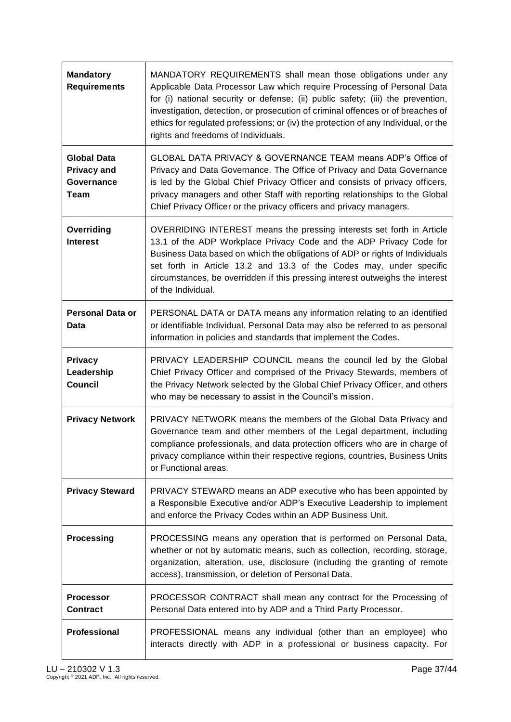| <b>Mandatory</b><br><b>Requirements</b>                        | MANDATORY REQUIREMENTS shall mean those obligations under any<br>Applicable Data Processor Law which require Processing of Personal Data<br>for (i) national security or defense; (ii) public safety; (iii) the prevention,<br>investigation, detection, or prosecution of criminal offences or of breaches of<br>ethics for regulated professions; or (iv) the protection of any Individual, or the<br>rights and freedoms of Individuals. |
|----------------------------------------------------------------|---------------------------------------------------------------------------------------------------------------------------------------------------------------------------------------------------------------------------------------------------------------------------------------------------------------------------------------------------------------------------------------------------------------------------------------------|
| <b>Global Data</b><br><b>Privacy and</b><br>Governance<br>Team | GLOBAL DATA PRIVACY & GOVERNANCE TEAM means ADP's Office of<br>Privacy and Data Governance. The Office of Privacy and Data Governance<br>is led by the Global Chief Privacy Officer and consists of privacy officers,<br>privacy managers and other Staff with reporting relationships to the Global<br>Chief Privacy Officer or the privacy officers and privacy managers.                                                                 |
| Overriding<br><b>Interest</b>                                  | OVERRIDING INTEREST means the pressing interests set forth in Article<br>13.1 of the ADP Workplace Privacy Code and the ADP Privacy Code for<br>Business Data based on which the obligations of ADP or rights of Individuals<br>set forth in Article 13.2 and 13.3 of the Codes may, under specific<br>circumstances, be overridden if this pressing interest outweighs the interest<br>of the Individual.                                  |
| <b>Personal Data or</b><br>Data                                | PERSONAL DATA or DATA means any information relating to an identified<br>or identifiable Individual. Personal Data may also be referred to as personal<br>information in policies and standards that implement the Codes.                                                                                                                                                                                                                   |
| <b>Privacy</b><br>Leadership<br><b>Council</b>                 | PRIVACY LEADERSHIP COUNCIL means the council led by the Global<br>Chief Privacy Officer and comprised of the Privacy Stewards, members of<br>the Privacy Network selected by the Global Chief Privacy Officer, and others<br>who may be necessary to assist in the Council's mission.                                                                                                                                                       |
| <b>Privacy Network</b>                                         | PRIVACY NETWORK means the members of the Global Data Privacy and<br>Governance team and other members of the Legal department, including<br>compliance professionals, and data protection officers who are in charge of<br>privacy compliance within their respective regions, countries, Business Units<br>or Functional areas.                                                                                                            |
| <b>Privacy Steward</b>                                         | PRIVACY STEWARD means an ADP executive who has been appointed by<br>a Responsible Executive and/or ADP's Executive Leadership to implement<br>and enforce the Privacy Codes within an ADP Business Unit.                                                                                                                                                                                                                                    |
| <b>Processing</b>                                              | PROCESSING means any operation that is performed on Personal Data,<br>whether or not by automatic means, such as collection, recording, storage,<br>organization, alteration, use, disclosure (including the granting of remote<br>access), transmission, or deletion of Personal Data.                                                                                                                                                     |
| <b>Processor</b><br><b>Contract</b>                            | PROCESSOR CONTRACT shall mean any contract for the Processing of<br>Personal Data entered into by ADP and a Third Party Processor.                                                                                                                                                                                                                                                                                                          |
| Professional                                                   | PROFESSIONAL means any individual (other than an employee) who<br>interacts directly with ADP in a professional or business capacity. For                                                                                                                                                                                                                                                                                                   |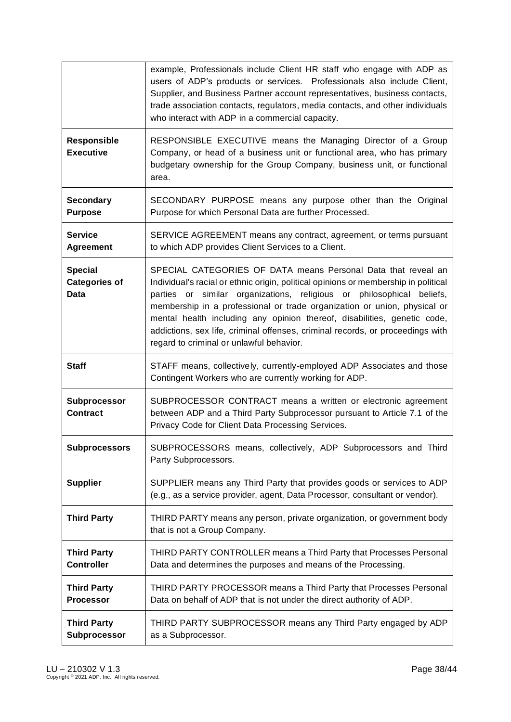|                                                | example, Professionals include Client HR staff who engage with ADP as<br>users of ADP's products or services. Professionals also include Client,<br>Supplier, and Business Partner account representatives, business contacts,<br>trade association contacts, regulators, media contacts, and other individuals<br>who interact with ADP in a commercial capacity.                                                                                                                                                  |
|------------------------------------------------|---------------------------------------------------------------------------------------------------------------------------------------------------------------------------------------------------------------------------------------------------------------------------------------------------------------------------------------------------------------------------------------------------------------------------------------------------------------------------------------------------------------------|
| <b>Responsible</b><br><b>Executive</b>         | RESPONSIBLE EXECUTIVE means the Managing Director of a Group<br>Company, or head of a business unit or functional area, who has primary<br>budgetary ownership for the Group Company, business unit, or functional<br>area.                                                                                                                                                                                                                                                                                         |
| <b>Secondary</b><br><b>Purpose</b>             | SECONDARY PURPOSE means any purpose other than the Original<br>Purpose for which Personal Data are further Processed.                                                                                                                                                                                                                                                                                                                                                                                               |
| <b>Service</b><br><b>Agreement</b>             | SERVICE AGREEMENT means any contract, agreement, or terms pursuant<br>to which ADP provides Client Services to a Client.                                                                                                                                                                                                                                                                                                                                                                                            |
| <b>Special</b><br><b>Categories of</b><br>Data | SPECIAL CATEGORIES OF DATA means Personal Data that reveal an<br>Individual's racial or ethnic origin, political opinions or membership in political<br>parties or similar organizations, religious or philosophical beliefs,<br>membership in a professional or trade organization or union, physical or<br>mental health including any opinion thereof, disabilities, genetic code,<br>addictions, sex life, criminal offenses, criminal records, or proceedings with<br>regard to criminal or unlawful behavior. |
| <b>Staff</b>                                   | STAFF means, collectively, currently-employed ADP Associates and those<br>Contingent Workers who are currently working for ADP.                                                                                                                                                                                                                                                                                                                                                                                     |
| Subprocessor<br><b>Contract</b>                | SUBPROCESSOR CONTRACT means a written or electronic agreement<br>between ADP and a Third Party Subprocessor pursuant to Article 7.1 of the<br>Privacy Code for Client Data Processing Services.                                                                                                                                                                                                                                                                                                                     |
| <b>Subprocessors</b>                           | SUBPROCESSORS means, collectively, ADP Subprocessors and Third<br>Party Subprocessors.                                                                                                                                                                                                                                                                                                                                                                                                                              |
| <b>Supplier</b>                                | SUPPLIER means any Third Party that provides goods or services to ADP<br>(e.g., as a service provider, agent, Data Processor, consultant or vendor).                                                                                                                                                                                                                                                                                                                                                                |
| <b>Third Party</b>                             | THIRD PARTY means any person, private organization, or government body<br>that is not a Group Company.                                                                                                                                                                                                                                                                                                                                                                                                              |
| <b>Third Party</b><br><b>Controller</b>        | THIRD PARTY CONTROLLER means a Third Party that Processes Personal<br>Data and determines the purposes and means of the Processing.                                                                                                                                                                                                                                                                                                                                                                                 |
| <b>Third Party</b><br><b>Processor</b>         | THIRD PARTY PROCESSOR means a Third Party that Processes Personal<br>Data on behalf of ADP that is not under the direct authority of ADP.                                                                                                                                                                                                                                                                                                                                                                           |
| <b>Third Party</b><br>Subprocessor             | THIRD PARTY SUBPROCESSOR means any Third Party engaged by ADP<br>as a Subprocessor.                                                                                                                                                                                                                                                                                                                                                                                                                                 |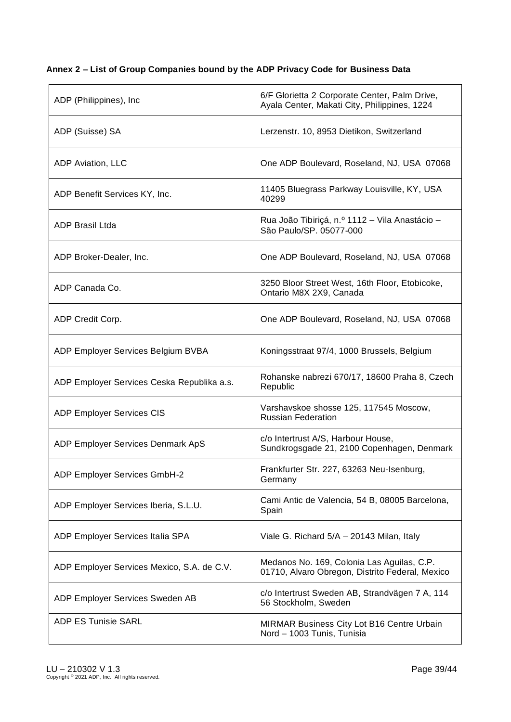## <span id="page-38-0"></span>**Annex 2** *–* **List of Group Companies bound by the ADP Privacy Code for Business Data**

| ADP (Philippines), Inc.                    | 6/F Glorietta 2 Corporate Center, Palm Drive,<br>Ayala Center, Makati City, Philippines, 1224 |
|--------------------------------------------|-----------------------------------------------------------------------------------------------|
| ADP (Suisse) SA                            | Lerzenstr. 10, 8953 Dietikon, Switzerland                                                     |
| ADP Aviation, LLC                          | One ADP Boulevard, Roseland, NJ, USA 07068                                                    |
| ADP Benefit Services KY, Inc.              | 11405 Bluegrass Parkway Louisville, KY, USA<br>40299                                          |
| <b>ADP Brasil Ltda</b>                     | Rua João Tibiriçá, n.º 1112 - Vila Anastácio -<br>São Paulo/SP. 05077-000                     |
| ADP Broker-Dealer, Inc.                    | One ADP Boulevard, Roseland, NJ, USA 07068                                                    |
| ADP Canada Co.                             | 3250 Bloor Street West, 16th Floor, Etobicoke,<br>Ontario M8X 2X9, Canada                     |
| ADP Credit Corp.                           | One ADP Boulevard, Roseland, NJ, USA 07068                                                    |
| ADP Employer Services Belgium BVBA         | Koningsstraat 97/4, 1000 Brussels, Belgium                                                    |
| ADP Employer Services Ceska Republika a.s. | Rohanske nabrezi 670/17, 18600 Praha 8, Czech<br>Republic                                     |
| <b>ADP Employer Services CIS</b>           | Varshavskoe shosse 125, 117545 Moscow,<br><b>Russian Federation</b>                           |
| ADP Employer Services Denmark ApS          | c/o Intertrust A/S, Harbour House,<br>Sundkrogsgade 21, 2100 Copenhagen, Denmark              |
| ADP Employer Services GmbH-2               | Frankfurter Str. 227, 63263 Neu-Isenburg,<br>Germany                                          |
| ADP Employer Services Iberia, S.L.U.       | Cami Antic de Valencia, 54 B, 08005 Barcelona,<br>Spain                                       |
| ADP Employer Services Italia SPA           | Viale G. Richard 5/A - 20143 Milan, Italy                                                     |
| ADP Employer Services Mexico, S.A. de C.V. | Medanos No. 169, Colonia Las Aguilas, C.P.<br>01710, Alvaro Obregon, Distrito Federal, Mexico |
| ADP Employer Services Sweden AB            | c/o Intertrust Sweden AB, Strandvägen 7 A, 114<br>56 Stockholm, Sweden                        |
| <b>ADP ES Tunisie SARL</b>                 | MIRMAR Business City Lot B16 Centre Urbain<br>Nord - 1003 Tunis, Tunisia                      |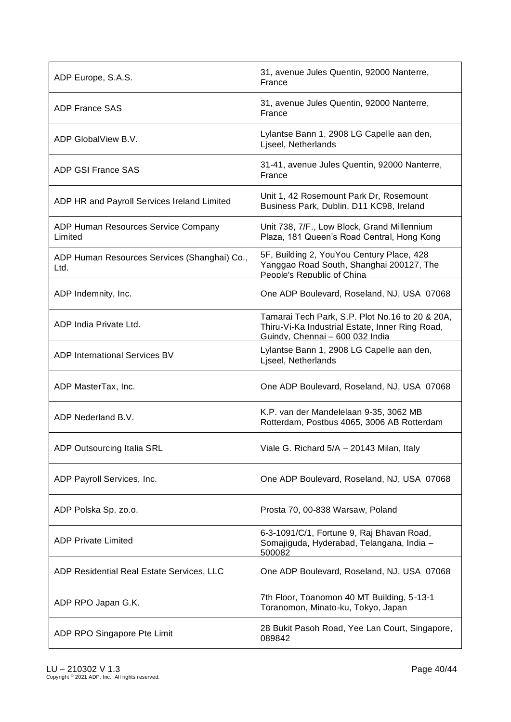| ADP Europe, S.A.S.                                   | 31, avenue Jules Quentin, 92000 Nanterre,<br>France                                                                                   |
|------------------------------------------------------|---------------------------------------------------------------------------------------------------------------------------------------|
| <b>ADP France SAS</b>                                | 31, avenue Jules Quentin, 92000 Nanterre,<br>France                                                                                   |
| ADP GlobalView B.V.                                  | Lylantse Bann 1, 2908 LG Capelle aan den,<br>Liseel, Netherlands                                                                      |
| <b>ADP GSI France SAS</b>                            | 31-41, avenue Jules Quentin, 92000 Nanterre,<br>France                                                                                |
| ADP HR and Payroll Services Ireland Limited          | Unit 1, 42 Rosemount Park Dr, Rosemount<br>Business Park, Dublin, D11 KC98, Ireland                                                   |
| ADP Human Resources Service Company<br>Limited       | Unit 738, 7/F., Low Block, Grand Millennium<br>Plaza, 181 Queen's Road Central, Hong Kong                                             |
| ADP Human Resources Services (Shanghai) Co.,<br>Ltd. | 5F, Building 2, YouYou Century Place, 428<br>Yanggao Road South, Shanghai 200127, The<br>People's Republic of China                   |
| ADP Indemnity, Inc.                                  | One ADP Boulevard, Roseland, NJ, USA 07068                                                                                            |
| ADP India Private Ltd.                               | Tamarai Tech Park, S.P. Plot No.16 to 20 & 20A,<br>Thiru-Vi-Ka Industrial Estate, Inner Ring Road,<br>Guindy, Chennai - 600 032 India |
| <b>ADP International Services BV</b>                 | Lylantse Bann 1, 2908 LG Capelle aan den,<br>Ljseel, Netherlands                                                                      |
| ADP MasterTax, Inc.                                  | One ADP Boulevard, Roseland, NJ, USA 07068                                                                                            |
| ADP Nederland B.V.                                   | K.P. van der Mandelelaan 9-35, 3062 MB<br>Rotterdam, Postbus 4065, 3006 AB Rotterdam                                                  |
| <b>ADP Outsourcing Italia SRL</b>                    | Viale G. Richard 5/A - 20143 Milan, Italy                                                                                             |
| ADP Payroll Services, Inc.                           | One ADP Boulevard, Roseland, NJ, USA 07068                                                                                            |
| ADP Polska Sp. zo.o.                                 | Prosta 70, 00-838 Warsaw, Poland                                                                                                      |
| <b>ADP Private Limited</b>                           | 6-3-1091/C/1, Fortune 9, Raj Bhavan Road,<br>Somajiguda, Hyderabad, Telangana, India -<br>500082                                      |
| ADP Residential Real Estate Services, LLC            | One ADP Boulevard, Roseland, NJ, USA 07068                                                                                            |
| ADP RPO Japan G.K.                                   | 7th Floor, Toanomon 40 MT Building, 5-13-1<br>Toranomon, Minato-ku, Tokyo, Japan                                                      |
| ADP RPO Singapore Pte Limit                          | 28 Bukit Pasoh Road, Yee Lan Court, Singapore,<br>089842                                                                              |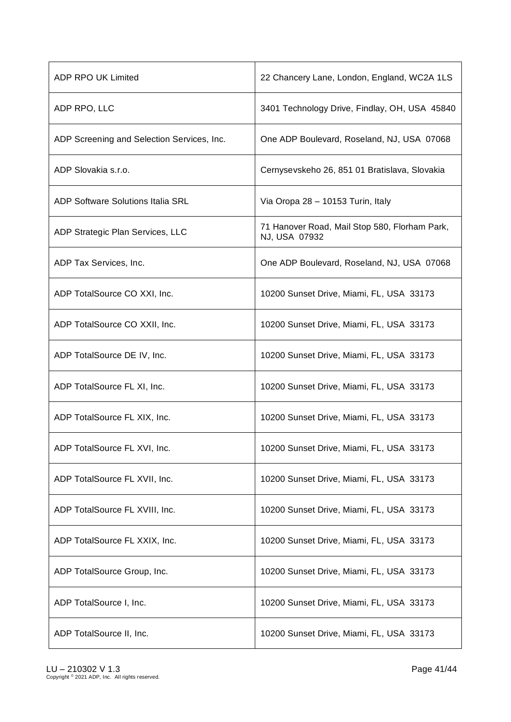| ADP RPO UK Limited                         | 22 Chancery Lane, London, England, WC2A 1LS                    |
|--------------------------------------------|----------------------------------------------------------------|
| ADP RPO, LLC                               | 3401 Technology Drive, Findlay, OH, USA 45840                  |
| ADP Screening and Selection Services, Inc. | One ADP Boulevard, Roseland, NJ, USA 07068                     |
| ADP Slovakia s.r.o.                        | Cernysevskeho 26, 851 01 Bratislava, Slovakia                  |
| <b>ADP Software Solutions Italia SRL</b>   | Via Oropa 28 - 10153 Turin, Italy                              |
| ADP Strategic Plan Services, LLC           | 71 Hanover Road, Mail Stop 580, Florham Park,<br>NJ, USA 07932 |
| ADP Tax Services, Inc.                     | One ADP Boulevard, Roseland, NJ, USA 07068                     |
| ADP TotalSource CO XXI, Inc.               | 10200 Sunset Drive, Miami, FL, USA 33173                       |
| ADP TotalSource CO XXII, Inc.              | 10200 Sunset Drive, Miami, FL, USA 33173                       |
| ADP TotalSource DE IV, Inc.                | 10200 Sunset Drive, Miami, FL, USA 33173                       |
| ADP TotalSource FL XI, Inc.                | 10200 Sunset Drive, Miami, FL, USA 33173                       |
| ADP TotalSource FL XIX, Inc.               | 10200 Sunset Drive, Miami, FL, USA 33173                       |
| ADP TotalSource FL XVI, Inc.               | 10200 Sunset Drive, Miami, FL, USA 33173                       |
| ADP TotalSource FL XVII, Inc.              | 10200 Sunset Drive, Miami, FL, USA 33173                       |
| ADP TotalSource FL XVIII, Inc.             | 10200 Sunset Drive, Miami, FL, USA 33173                       |
| ADP TotalSource FL XXIX, Inc.              | 10200 Sunset Drive, Miami, FL, USA 33173                       |
| ADP TotalSource Group, Inc.                | 10200 Sunset Drive, Miami, FL, USA 33173                       |
| ADP TotalSource I, Inc.                    | 10200 Sunset Drive, Miami, FL, USA 33173                       |
| ADP TotalSource II, Inc.                   | 10200 Sunset Drive, Miami, FL, USA 33173                       |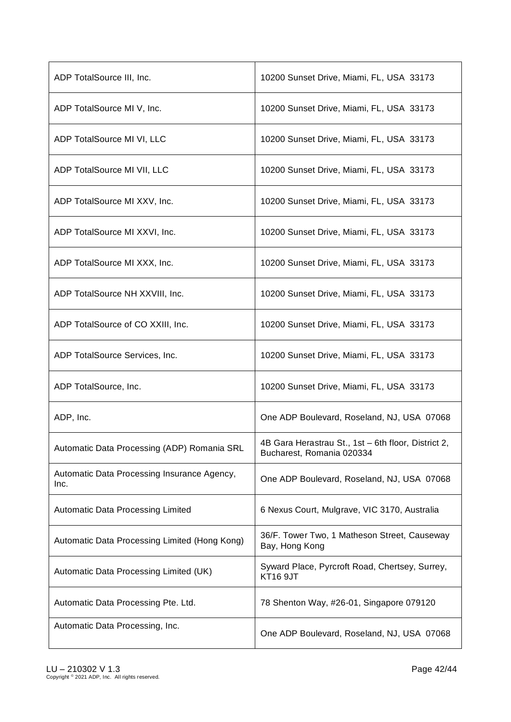| ADP TotalSource III, Inc.                           | 10200 Sunset Drive, Miami, FL, USA 33173                                         |
|-----------------------------------------------------|----------------------------------------------------------------------------------|
| ADP TotalSource MI V, Inc.                          | 10200 Sunset Drive, Miami, FL, USA 33173                                         |
| ADP TotalSource MI VI, LLC                          | 10200 Sunset Drive, Miami, FL, USA 33173                                         |
| ADP TotalSource MI VII, LLC                         | 10200 Sunset Drive, Miami, FL, USA 33173                                         |
| ADP TotalSource MI XXV, Inc.                        | 10200 Sunset Drive, Miami, FL, USA 33173                                         |
| ADP TotalSource MI XXVI, Inc.                       | 10200 Sunset Drive, Miami, FL, USA 33173                                         |
| ADP TotalSource MI XXX, Inc.                        | 10200 Sunset Drive, Miami, FL, USA 33173                                         |
| ADP TotalSource NH XXVIII, Inc.                     | 10200 Sunset Drive, Miami, FL, USA 33173                                         |
| ADP TotalSource of CO XXIII, Inc.                   | 10200 Sunset Drive, Miami, FL, USA 33173                                         |
| ADP TotalSource Services, Inc.                      | 10200 Sunset Drive, Miami, FL, USA 33173                                         |
| ADP TotalSource, Inc.                               | 10200 Sunset Drive, Miami, FL, USA 33173                                         |
| ADP, Inc.                                           | One ADP Boulevard, Roseland, NJ, USA 07068                                       |
| Automatic Data Processing (ADP) Romania SRL         | 4B Gara Herastrau St., 1st - 6th floor, District 2,<br>Bucharest, Romania 020334 |
| Automatic Data Processing Insurance Agency,<br>Inc. | One ADP Boulevard, Roseland, NJ, USA 07068                                       |
| Automatic Data Processing Limited                   | 6 Nexus Court, Mulgrave, VIC 3170, Australia                                     |
| Automatic Data Processing Limited (Hong Kong)       | 36/F. Tower Two, 1 Matheson Street, Causeway<br>Bay, Hong Kong                   |
| Automatic Data Processing Limited (UK)              | Syward Place, Pyrcroft Road, Chertsey, Surrey,<br><b>KT16 9JT</b>                |
| Automatic Data Processing Pte. Ltd.                 | 78 Shenton Way, #26-01, Singapore 079120                                         |
| Automatic Data Processing, Inc.                     | One ADP Boulevard, Roseland, NJ, USA 07068                                       |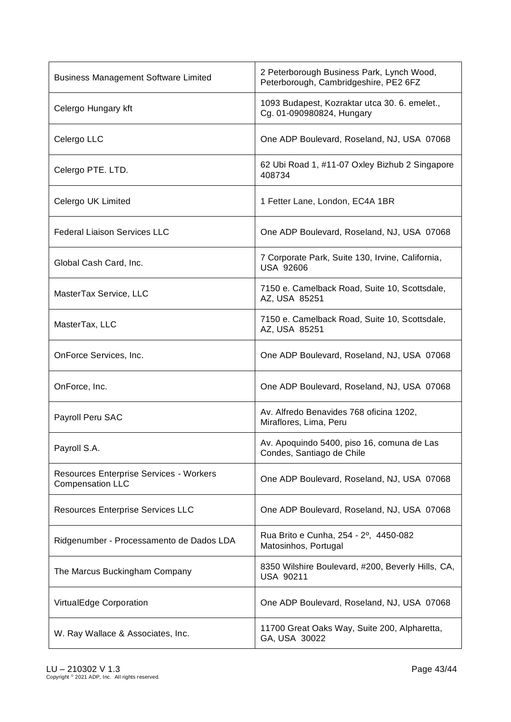| <b>Business Management Software Limited</b>                        | 2 Peterborough Business Park, Lynch Wood,<br>Peterborough, Cambridgeshire, PE2 6FZ |
|--------------------------------------------------------------------|------------------------------------------------------------------------------------|
| Celergo Hungary kft                                                | 1093 Budapest, Kozraktar utca 30. 6. emelet.,<br>Cg. 01-090980824, Hungary         |
| Celergo LLC                                                        | One ADP Boulevard, Roseland, NJ, USA 07068                                         |
| Celergo PTE. LTD.                                                  | 62 Ubi Road 1, #11-07 Oxley Bizhub 2 Singapore<br>408734                           |
| Celergo UK Limited                                                 | 1 Fetter Lane, London, EC4A 1BR                                                    |
| <b>Federal Liaison Services LLC</b>                                | One ADP Boulevard, Roseland, NJ, USA 07068                                         |
| Global Cash Card, Inc.                                             | 7 Corporate Park, Suite 130, Irvine, California,<br><b>USA 92606</b>               |
| MasterTax Service, LLC                                             | 7150 e. Camelback Road, Suite 10, Scottsdale,<br>AZ, USA 85251                     |
| MasterTax, LLC                                                     | 7150 e. Camelback Road, Suite 10, Scottsdale,<br>AZ, USA 85251                     |
| OnForce Services, Inc.                                             | One ADP Boulevard, Roseland, NJ, USA 07068                                         |
| OnForce, Inc.                                                      | One ADP Boulevard, Roseland, NJ, USA 07068                                         |
| Payroll Peru SAC                                                   | Av. Alfredo Benavides 768 oficina 1202,<br>Miraflores, Lima, Peru                  |
| Payroll S.A.                                                       | Av. Apoquindo 5400, piso 16, comuna de Las<br>Condes, Santiago de Chile            |
| Resources Enterprise Services - Workers<br><b>Compensation LLC</b> | One ADP Boulevard, Roseland, NJ, USA 07068                                         |
| <b>Resources Enterprise Services LLC</b>                           | One ADP Boulevard, Roseland, NJ, USA 07068                                         |
| Ridgenumber - Processamento de Dados LDA                           | Rua Brito e Cunha, 254 - 2 <sup>o</sup> , 4450-082<br>Matosinhos, Portugal         |
| The Marcus Buckingham Company                                      | 8350 Wilshire Boulevard, #200, Beverly Hills, CA,<br>USA 90211                     |
| VirtualEdge Corporation                                            | One ADP Boulevard, Roseland, NJ, USA 07068                                         |
| W. Ray Wallace & Associates, Inc.                                  | 11700 Great Oaks Way, Suite 200, Alpharetta,<br>GA, USA 30022                      |